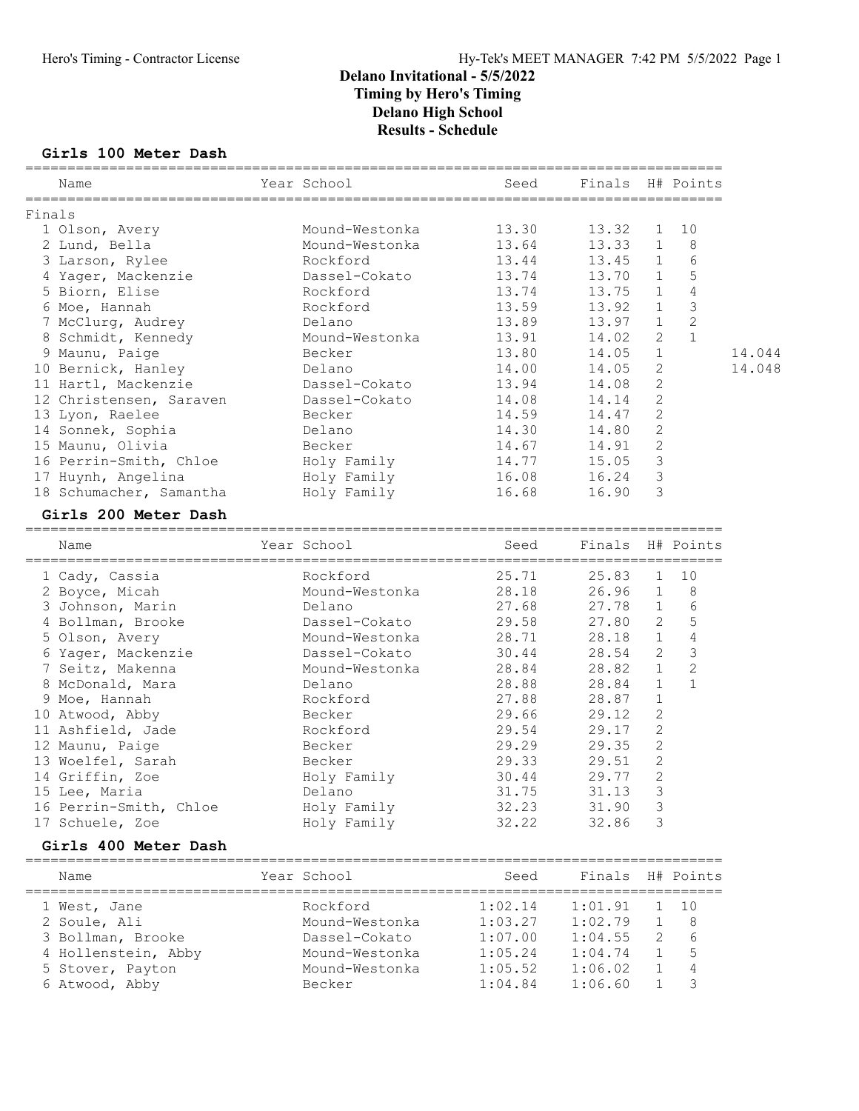### Hero's Timing - Contractor License Hy-Tek's MEET MANAGER 7:42 PM 5/5/2022 Page 1

### Delano Invitational - 5/5/2022 Timing by Hero's Timing Delano High School Results - Schedule

#### Girls 100 Meter Dash

|        | Name                    | Year School         | Seed                     | Finals H# Points |                |                |        |
|--------|-------------------------|---------------------|--------------------------|------------------|----------------|----------------|--------|
| Finals |                         |                     |                          |                  |                |                |        |
|        | 1 Olson, Avery          | Mound-Westonka      | 13.30                    | 13.32            | 1              | 10             |        |
|        | 2 Lund, Bella           | Mound-Westonka      | 13.64                    | 13.33            | $\mathbf{1}$   | 8              |        |
|        | 3 Larson, Rylee         | Rockford            | 13.44                    | 13.45            | $\mathbf{1}$   | 6              |        |
|        | 4 Yager, Mackenzie      | Dassel-Cokato       | 13.74                    | 13.70            | $\mathbf{1}$   | 5              |        |
|        | 5 Biorn, Elise          | Rockford            | 13.74                    | 13.75            | $\mathbf{1}$   | 4              |        |
|        | 6 Moe, Hannah           | Rockford            | 13.59                    | 13.92            | $\mathbf{1}$   | $\mathfrak{Z}$ |        |
|        | 7 McClurg, Audrey       | Delano              | 13.89                    | 13.97            | $\mathbf{1}$   | $\overline{c}$ |        |
|        | 8 Schmidt, Kennedy      | Mound-Westonka      | 13.91                    | 14.02            | $\mathbf{2}$   | $\mathbf{1}$   |        |
|        | 9 Maunu, Paige          | Becker              | 13.80                    | 14.05            | $\mathbf 1$    |                | 14.044 |
|        | 10 Bernick, Hanley      | Delano              | 14.00                    | 14.05            | $\overline{2}$ |                | 14.048 |
|        | 11 Hartl, Mackenzie     | Dassel-Cokato       | 13.94                    | 14.08            | $\mathbf{2}$   |                |        |
|        | 12 Christensen, Saraven | Dassel-Cokato       | 14.08                    | 14.14            | $\mathbf{2}$   |                |        |
|        | 13 Lyon, Raelee         | Becker              | 14.59                    | 14.47            | $\mathbf{2}$   |                |        |
|        | 14 Sonnek, Sophia       | Delano              | 14.30                    | 14.80            | $\mathbf{2}$   |                |        |
|        | 15 Maunu, Olivia        | Becker              | 14.67                    | 14.91            | $\mathbf{2}$   |                |        |
|        | 16 Perrin-Smith, Chloe  | Holy Family         | 14.77                    | 15.05            | $\mathfrak{Z}$ |                |        |
|        | 17 Huynh, Angelina      | Holy Family         | 16.08                    | 16.24            | 3              |                |        |
|        | 18 Schumacher, Samantha | Holy Family         | 16.68                    | 16.90            | 3              |                |        |
|        | Girls 200 Meter Dash    |                     |                          |                  |                |                |        |
|        |                         |                     |                          |                  |                |                |        |
|        | Name                    | Year School         | Seed                     | Finals H# Points |                |                |        |
|        | 1 Cady, Cassia          | Rockford            | 25.71                    | 25.83            | $\mathbf{1}$   | 10             |        |
|        | 2 Boyce, Micah          | Mound-Westonka      | 28.18                    | 26.96            | $\mathbf{1}$   | 8              |        |
|        | 3 Johnson, Marin        | Delano              | 27.68                    | 27.78            | $\mathbf{1}$   | 6              |        |
|        | 4 Bollman, Brooke       | Dassel-Cokato       | 29.58                    | 27.80            | $\overline{2}$ | 5              |        |
|        | 5 Olson, Avery          | Mound-Westonka      | 28.71                    | 28.18            | 1              | 4              |        |
|        | 6 Yager, Mackenzie      | Dassel-Cokato       | 30.44                    | 28.54            | $\mathbf{2}$   | 3              |        |
|        | 7 Seitz, Makenna        | Mound-Westonka      | 28.84                    | 28.82            | 1              | 2              |        |
|        | 8 McDonald, Mara        | Delano              | 28.88                    | 28.84            | $\mathbf{1}$   | $\mathbf{1}$   |        |
|        | 9 Moe, Hannah           | Rockford            | 27.88                    | 28.87            | $\mathbf{1}$   |                |        |
|        | 10 Atwood, Abby         | Becker              | 29.66                    | 29.12            | $\mathbf{2}$   |                |        |
|        | 11 Ashfield, Jade       | Rockford            | 29.54                    | 29.17            | $\mathbf{2}$   |                |        |
|        | 12 Maunu, Paige         | Becker              | 29.29                    | 29.35            | 2              |                |        |
|        | 13 Woelfel, Sarah       | Becker              | 29.33                    | 29.51            | $\mathbf{2}$   |                |        |
|        | 14 Griffin, Zoe         | Holy Family         | 30.44                    | 29.77            | 2              |                |        |
|        | 15 Lee, Maria           | Delano              | 31.75                    | 31.13            | $\mathfrak{Z}$ |                |        |
|        | 16 Perrin-Smith, Chloe  | Holy Family         | 32.23                    | 31.90            | 3              |                |        |
|        | 17 Schuele, Zoe         | Holy Family         | 32.22                    | 32.86            | 3              |                |        |
|        | Girls 400 Meter Dash    |                     |                          |                  |                |                |        |
|        | Name                    | Year School         | Seed                     | Finals           |                | H# Points      |        |
|        | =============           | =================== | $=$ $=$ $=$ $=$<br>===== | =========        |                |                |        |
|        | 1 West, Jane            | Rockford            | 1:02.14                  | 1:01.91          | 1              | 10             |        |
|        | 2 Soule, Ali            | Mound-Westonka      | 1:03.27                  | 1:02.79          | 1              | 8              |        |
|        | 3 Bollman, Brooke       | Dassel-Cokato       | 1:07.00                  | 1:04.55          | 2              | 6              |        |
|        | 4 Hollenstein, Abby     | Mound-Westonka      | 1:05.24                  | 1:04.74          | 1              | 5              |        |
|        | 5 Stover, Payton        | Mound-Westonka      | 1:05.52                  | 1:06.02          | 1              | 4              |        |

6 Atwood, Abby Becker 1:04.84 1:06.60 1 3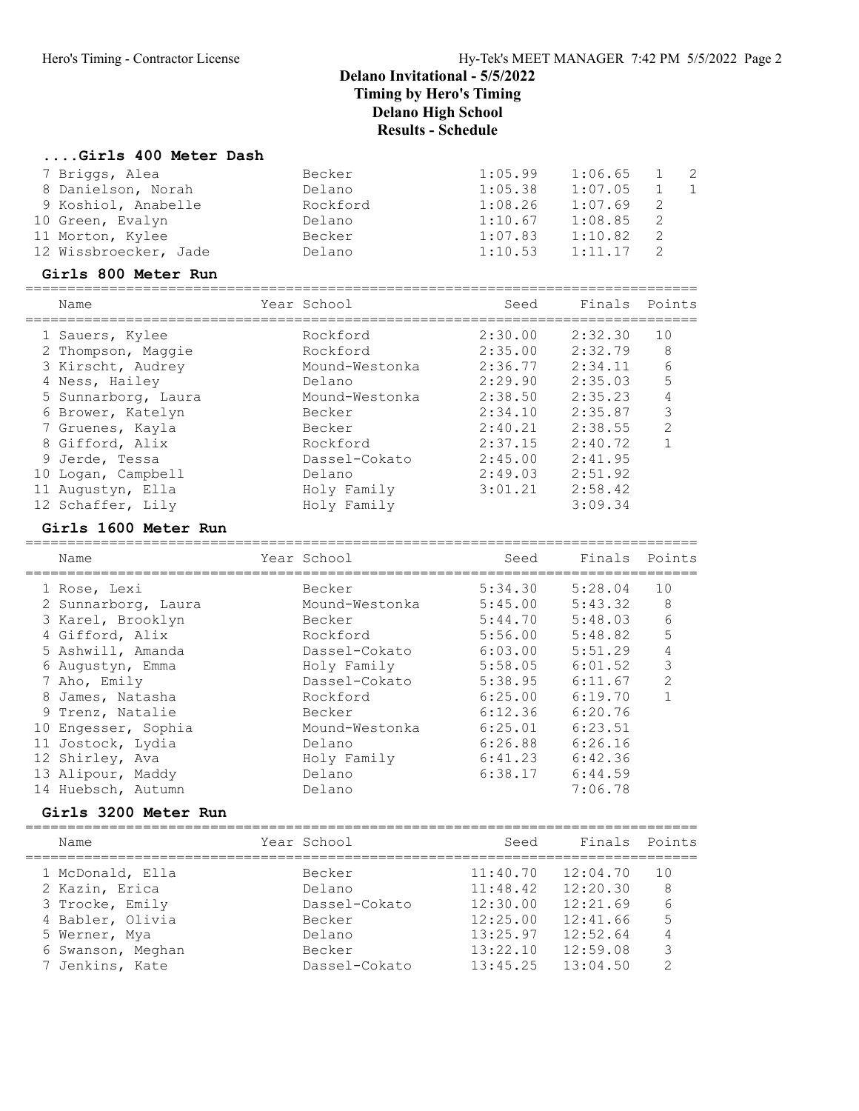#### ....Girls 400 Meter Dash

| 7 Briggs, Alea        | Becker   | 1:05.99 | 1:06.65 | $\overline{2}$ |
|-----------------------|----------|---------|---------|----------------|
| 8 Danielson, Norah    | Delano   | 1:05.38 | 1:07.05 |                |
| 9 Koshiol, Anabelle   | Rockford | 1:08.26 | 1:07.69 |                |
| 10 Green, Evalyn      | Delano   | 1:10.67 | 1:08.85 |                |
| 11 Morton, Kylee      | Becker   | 1:07.83 | 1:10.82 |                |
| 12 Wissbroecker, Jade | Delano   | 1:10.53 | 1:11.17 |                |

#### Girls 800 Meter Run

================================================================================

| Name                | Year School    | Seed    | Finals Points |                |
|---------------------|----------------|---------|---------------|----------------|
| 1 Sauers, Kylee     | Rockford       | 2:30.00 | 2:32.30       | 10             |
| 2 Thompson, Maggie  | Rockford       | 2:35.00 | 2:32.79       | 8              |
| 3 Kirscht, Audrey   | Mound-Westonka | 2:36.77 | 2:34.11       | 6              |
| 4 Ness, Hailey      | Delano         | 2:29.90 | 2:35.03       | 5              |
| 5 Sunnarborg, Laura | Mound-Westonka | 2:38.50 | 2:35.23       | 4              |
| 6 Brower, Katelyn   | Becker         | 2:34.10 | 2:35.87       | 3              |
| 7 Gruenes, Kayla    | Becker         | 2:40.21 | 2:38.55       | $\mathfrak{D}$ |
| 8 Gifford, Alix     | Rockford       | 2:37.15 | 2:40.72       |                |
| 9 Jerde, Tessa      | Dassel-Cokato  | 2:45.00 | 2:41.95       |                |
| 10 Logan, Campbell  | Delano         | 2:49.03 | 2:51.92       |                |
| 11 Augustyn, Ella   | Holy Family    | 3:01.21 | 2:58.42       |                |
| 12 Schaffer, Lily   | Holy Family    |         | 3:09.34       |                |

#### Girls 1600 Meter Run

| Name                 | Year School    | Seed    | Finals Points |                |
|----------------------|----------------|---------|---------------|----------------|
| 1 Rose, Lexi         | Becker         | 5:34.30 | 5:28.04       | 10             |
| 2 Sunnarborg, Laura  | Mound-Westonka | 5:45.00 | 5:43.32       | 8              |
| 3 Karel, Brooklyn    | Becker         | 5:44.70 | 5:48.03       | 6              |
| 4 Gifford, Alix      | Rockford       | 5:56.00 | 5:48.82       | 5              |
| 5 Ashwill, Amanda    | Dassel-Cokato  | 6:03.00 | 5:51.29       | 4              |
| 6 Augustyn, Emma     | Holy Family    | 5:58.05 | 6:01.52       | 3              |
| 7 Aho, Emily         | Dassel-Cokato  | 5:38.95 | 6:11.67       | $\overline{2}$ |
| 8 James, Natasha     | Rockford       | 6:25.00 | 6:19.70       |                |
| 9 Trenz, Natalie     | Becker         | 6:12.36 | 6:20.76       |                |
| 10 Engesser, Sophia  | Mound-Westonka | 6:25.01 | 6:23.51       |                |
| 11 Jostock, Lydia    | Delano         | 6:26.88 | 6:26.16       |                |
| 12 Shirley, Ava      | Holy Family    | 6:41.23 | 6:42.36       |                |
| 13 Alipour, Maddy    | Delano         | 6:38.17 | 6:44.59       |                |
| 14 Huebsch, Autumn   | Delano         |         | 7:06.78       |                |
| Girls 3200 Meter Run |                |         |               |                |

#### ================================================================================ Name Year School Seed Finals Points ================================================================================ 1 McDonald, Ella Becker 11:40.70 12:04.70 10 2 Kazin, Erica Delano 11:48.42 12:20.30 8 3 Trocke, Emily Dassel-Cokato 12:30.00 12:21.69 6 4 Babler, Olivia Becker 12:25.00 12:41.66 5 5 Werner, Mya Delano 13:25.97 12:52.64 4 6 Swanson, Meghan Becker 13:22.10 12:59.08 3 7 Jenkins, Kate Dassel-Cokato 13:45.25 13:04.50 2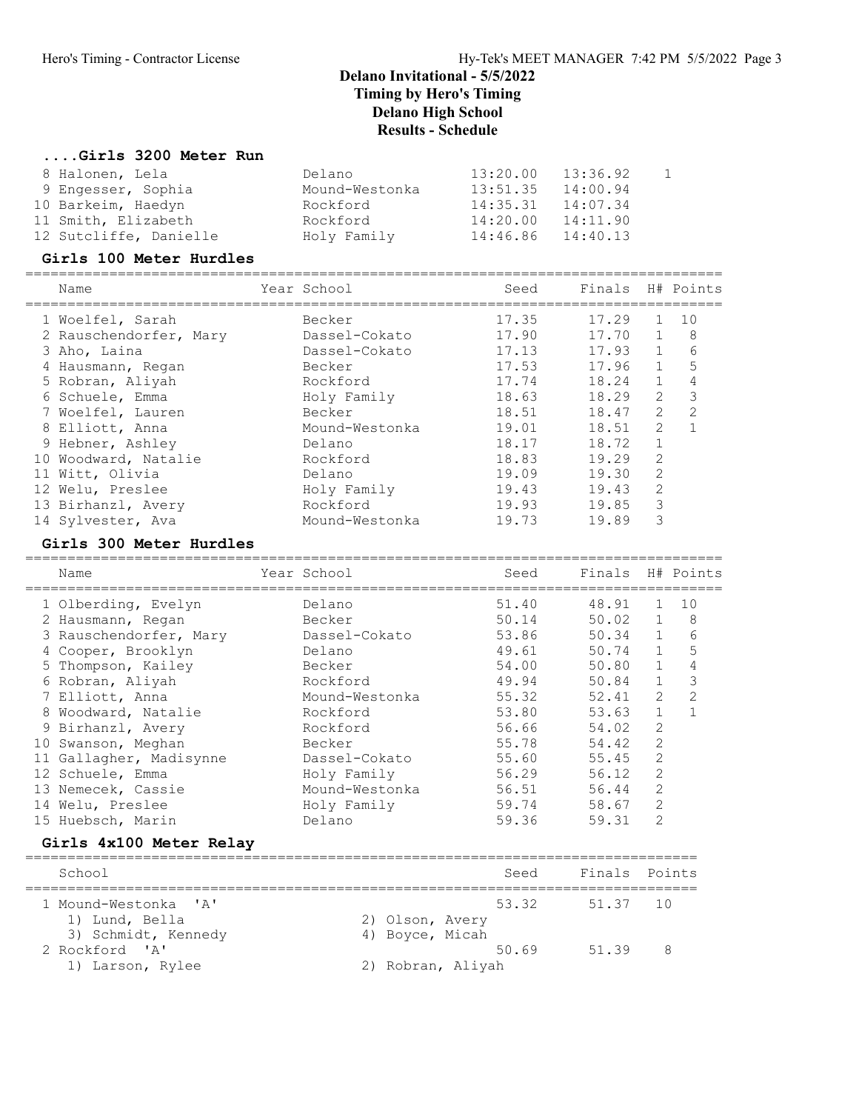### ....Girls 3200 Meter Run

| 8 Halonen, Lela        | Delano         | 13:20.00 | 13:36.92 |  |
|------------------------|----------------|----------|----------|--|
| 9 Engesser, Sophia     | Mound-Westonka | 13:51.35 | 14:00.94 |  |
| 10 Barkeim, Haedyn     | Rockford       | 14:35.31 | 14:07.34 |  |
| 11 Smith, Elizabeth    | Rockford       | 14:20.00 | 14:11.90 |  |
| 12 Sutcliffe, Danielle | Holy Family    | 14:46.86 | 14:40.13 |  |

#### Girls 100 Meter Hurdles

| Name                   | Year School    |       | Seed | Finals |                | H# Points |
|------------------------|----------------|-------|------|--------|----------------|-----------|
| 1 Woelfel, Sarah       | Becker         | 17.35 |      | 17.29  |                | 10        |
| 2 Rauschendorfer, Mary | Dassel-Cokato  | 17.90 |      | 17.70  |                | 8         |
| 3 Aho, Laina           | Dassel-Cokato  | 17.13 |      | 17.93  | $\mathbf{1}$   | 6         |
| 4 Hausmann, Regan      | Becker         | 17.53 |      | 17.96  | $\mathbf{1}$   | 5         |
| 5 Robran, Aliyah       | Rockford       | 17.74 |      | 18.24  | $\mathbf{1}$   | 4         |
| 6 Schuele, Emma        | Holy Family    | 18.63 |      | 18.29  | 2              | 3         |
| 7 Woelfel, Lauren      | Becker         | 18.51 |      | 18.47  | 2              |           |
| 8 Elliott, Anna        | Mound-Westonka | 19.01 |      | 18.51  | 2              |           |
| 9 Hebner, Ashley       | Delano         | 18.17 |      | 18.72  |                |           |
| 10 Woodward, Natalie   | Rockford       | 18.83 |      | 19.29  | $\overline{2}$ |           |
| 11 Witt, Olivia        | Delano         | 19.09 |      | 19.30  | 2              |           |
| 12 Welu, Preslee       | Holy Family    | 19.43 |      | 19.43  | $\overline{2}$ |           |
| 13 Birhanzl, Avery     | Rockford       | 19.93 |      | 19.85  | 3              |           |
| 14 Sylvester, Ava      | Mound-Westonka | 19.73 |      | 19.89  | 3              |           |

### Girls 300 Meter Hurdles

| Name                    | Year School    | Seed  | Finals |                | H# Points     |
|-------------------------|----------------|-------|--------|----------------|---------------|
| 1 Olberding, Evelyn     | Delano         | 51.40 | 48.91  |                | 10            |
| 2 Hausmann, Regan       | Becker         | 50.14 | 50.02  |                | 8             |
| 3 Rauschendorfer, Mary  | Dassel-Cokato  | 53.86 | 50.34  |                | 6             |
| 4 Cooper, Brooklyn      | Delano         | 49.61 | 50.74  |                | 5             |
| 5 Thompson, Kailey      | Becker         | 54.00 | 50.80  | $\mathbf{1}$   | 4             |
| 6 Robran, Aliyah        | Rockford       | 49.94 | 50.84  | $\mathbf{1}$   | 3             |
| 7 Elliott, Anna         | Mound-Westonka | 55.32 | 52.41  | 2              | $\mathcal{P}$ |
| 8 Woodward, Natalie     | Rockford       | 53.80 | 53.63  |                |               |
| 9 Birhanzl, Avery       | Rockford       | 56.66 | 54.02  | 2              |               |
| 10 Swanson, Meghan      | Becker         | 55.78 | 54.42  | 2              |               |
| 11 Gallagher, Madisynne | Dassel-Cokato  | 55.60 | 55.45  | 2              |               |
| 12 Schuele, Emma        | Holy Family    | 56.29 | 56.12  | 2              |               |
| 13 Nemecek, Cassie      | Mound-Westonka | 56.51 | 56.44  | $\overline{2}$ |               |
| 14 Welu, Preslee        | Holy Family    | 59.74 | 58.67  | 2              |               |
| 15 Huebsch, Marin       | Delano         | 59.36 | 59.31  | 2              |               |

### Girls 4x100 Meter Relay

| School               | Seed              | Finals Points |
|----------------------|-------------------|---------------|
| 1 Mound-Westonka 'A' | 53.32             | 51.37 10      |
| 1) Lund, Bella       | 2) Olson, Avery   |               |
| 3) Schmidt, Kennedy  | 4) Boyce, Micah   |               |
| 2 Rockford 'A'       | 51 39<br>50.69    | 8             |
| 1) Larson, Rylee     | 2) Robran, Aliyah |               |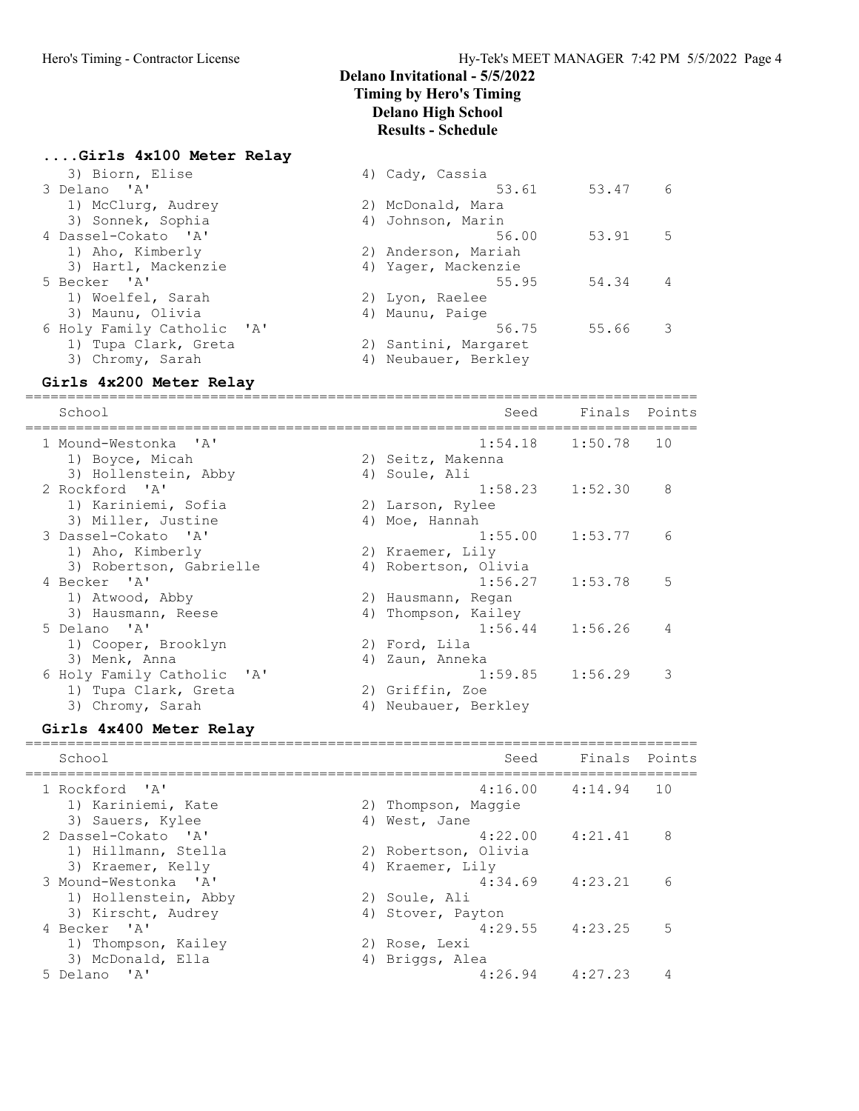$53.91$  5

53.61 53.47 6

 $55.95$   $54.34$  4

56.75 55.66 3

### Delano Invitational - 5/5/2022 Timing by Hero's Timing Delano High School Results - Schedule

4) Cady, Cassia

2) Santini, Margaret

4) Johnson, Marin<br>56.00

2) Anderson, Mariah 4) Yager, Mackenzie

# ....Girls 4x100 Meter Relay<br>3) Biorn Flise

| 3) BIOLID, ETISE           |  | 4) Cauv, Cassia      |
|----------------------------|--|----------------------|
| 3 Delano 'A'               |  | 53.61                |
| 1) McClurg, Audrey         |  | 2) McDonald, Mara    |
| 3) Sonnek, Sophia          |  | 4) Johnson, Marin    |
| 4 Dassel-Cokato 'A'        |  | 56.00                |
| 1) Aho, Kimberly           |  | 2) Anderson, Mariah  |
| 3) Hartl, Mackenzie        |  | 4) Yaqer, Mackenzie  |
| 5 Becker 'A'               |  | 55.95                |
| 1) Woelfel, Sarah          |  | 2) Lyon, Raelee      |
| 3) Maunu, Olivia           |  | 4) Maunu, Paige      |
| 6 Holy Family Catholic 'A' |  | 56.75                |
| 1) Tupa Clark, Greta       |  | 2) Santini, Margaret |
| 3) Chromy, Sarah           |  | 4) Neubauer, Berkley |
|                            |  |                      |

### Girls 4x200 Meter Relay

================================================================================ School School School Seed Finals Points ================================================================================ 1 Mound-Westonka 'A' 1:54.18 1:50.78 10 1) Boyce, Micah 2) Seitz, Makenna 3) Hollenstein, Abby (4) Soule, Ali 2 Rockford 'A' 1:58.23 1:52.30 8 1) Kariniemi, Sofia 2) Larson, Rylee 3) Miller, Justine 4) Moe, Hannah 3 Dassel-Cokato 'A' 1:55.00 1:53.77 6 1) Aho, Kimberly 2) Kraemer, Lily 3) Robertson, Gabrielle (4) Robertson, Olivia 4 Becker 'A' 1:56.27 1:53.78 5 1) Atwood, Abby 2) Hausmann, Regan 3) Hausmann, Reese 4) Thompson, Kailey 5 Delano 'A' 1:56.44 1:56.26 4 1) Cooper, Brooklyn 2) Ford, Lila 3) Menk, Anna 1988 (2008) (2008) (2008) (2010) (3008) (31) 6 Holy Family Catholic 'A' 1:59.85 1:56.29 3 1) Tupa Clark, Greta (2) Griffin, Zoe 3) Chromy, Sarah 1988 (4) Neubauer, Berkley

#### Girls 4x400 Meter Relay

================================================================================ School Seed Finals Points ================================================================================ 1 Rockford 'A' 4:16.00 4:14.94 10 1) Kariniemi, Kate 2) Thompson, Maggie 3) Sauers, Kylee 4) West, Jane 2 Dassel-Cokato 'A' 4:22.00 4:21.41 8 1) Hillmann, Stella 2) Robertson, Olivia 3) Kraemer, Kelly 1984 (4) Kraemer, Lily 3 Mound-Westonka 'A' 4:34.69 4:23.21 6 1) Hollenstein, Abby 2) Soule, Ali 3) Kirscht, Audrey (4) Stover, Payton 4 Becker 'A' 4:29.55 4:23.25 5 1) Thompson, Kailey 2) Rose, Lexi 3) McDonald, Ella (4) Briggs, Alea 5 Delano 'A' 4:26.94 4:27.23 4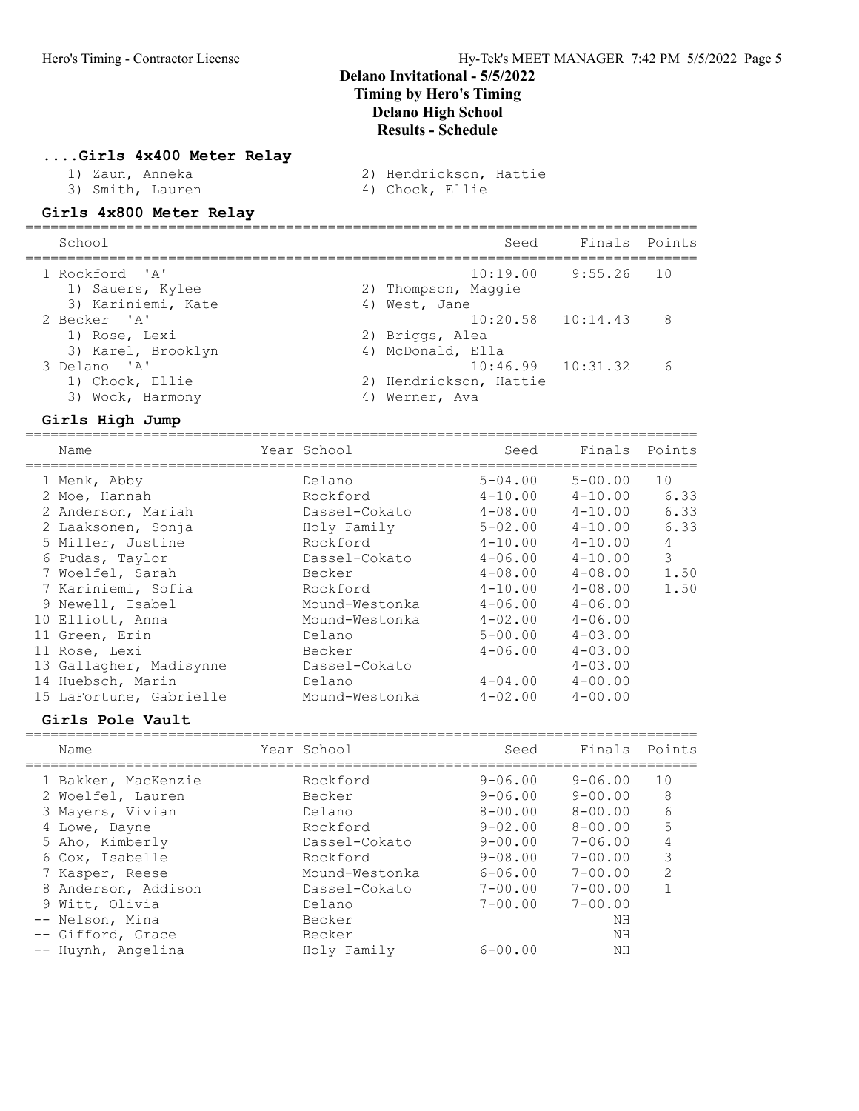#### ....Girls 4x400 Meter Relay

- -
- 1) Zaun, Anneka 2) Hendrickson, Hattie
- 3) Smith, Lauren 4) Chock, Ellie

### Girls 4x800 Meter Relay

| 2) Thompson, Maggie                   |                                                                                                                    |
|---------------------------------------|--------------------------------------------------------------------------------------------------------------------|
| 2) Briggs, Alea<br>4) McDonald, Ella  |                                                                                                                    |
| 2) Hendrickson, Hattie<br>Werner, Ava | $\epsilon$                                                                                                         |
|                                       | Seed Finals Points<br>$10:19.00$ $9:55.26$ 10<br>4) West, Jane<br>$10:20.58$ $10:14.43$ 8<br>$10:46.99$ $10:31.32$ |

#### Girls High Jump

| Name                    | Year School    | Seed        | Finals         | Points |
|-------------------------|----------------|-------------|----------------|--------|
| 1 Menk, Abby            | Delano         | $5 - 04.00$ | $5 - 00.00$    | 10     |
| 2 Moe, Hannah           | Rockford       | $4 - 10.00$ | $4 - 10.00$    | 6.33   |
| 2 Anderson, Mariah      | Dassel-Cokato  | $4 - 08.00$ | $4 - 10.00$    | 6.33   |
| 2 Laaksonen, Sonja      | Holy Family    | $5 - 02.00$ | $4 - 10.00$    | 6.33   |
| 5 Miller, Justine       | Rockford       | $4 - 10.00$ | $4 - 10.00$    | 4      |
| 6 Pudas, Taylor         | Dassel-Cokato  | $4 - 06.00$ | $4 - 10.00$    | 3      |
| 7 Woelfel, Sarah        | Becker         | $4 - 08.00$ | $4 - 08.00$    | 1.50   |
| 7 Kariniemi, Sofia      | Rockford       | $4 - 10.00$ | $4 - 08.00$    | 1.50   |
| 9 Newell, Isabel        | Mound-Westonka | $4 - 06.00$ | $4 - 06.00$    |        |
| 10 Elliott, Anna        | Mound-Westonka | $4 - 02.00$ | $4 - 06.00$    |        |
| 11 Green, Erin          | Delano         | $5 - 00.00$ | $4 - 0.3$ , 00 |        |
| 11 Rose, Lexi           | Becker         | $4 - 06.00$ | $4 - 0.3$ , 00 |        |
| 13 Gallagher, Madisynne | Dassel-Cokato  |             | $4 - 03.00$    |        |
| 14 Huebsch, Marin       | Delano         | $4 - 04.00$ | $4 - 00.00$    |        |
| 15 LaFortune, Gabrielle | Mound-Westonka | $4 - 02.00$ | $4 - 00.00$    |        |
|                         |                |             |                |        |

#### Girls Pole Vault

| Name                | Year School    | Seed        | Finals      | Points         |
|---------------------|----------------|-------------|-------------|----------------|
| 1 Bakken, MacKenzie | Rockford       | $9 - 06.00$ | $9 - 06.00$ | 10             |
| 2 Woelfel, Lauren   | Becker         | $9 - 06.00$ | $9 - 00.00$ | 8              |
| 3 Mayers, Vivian    | Delano         | $8 - 00.00$ | $8 - 00.00$ | 6              |
| 4 Lowe, Dayne       | Rockford       | $9 - 02.00$ | $8 - 00.00$ | 5              |
| 5 Aho, Kimberly     | Dassel-Cokato  | $9 - 00.00$ | $7 - 06.00$ | 4              |
| 6 Cox, Isabelle     | Rockford       | $9 - 08.00$ | $7 - 00.00$ | 3              |
| 7 Kasper, Reese     | Mound-Westonka | $6 - 06.00$ | $7 - 00.00$ | $\mathfrak{D}$ |
| 8 Anderson, Addison | Dassel-Cokato  | $7 - 00.00$ | $7 - 00.00$ |                |
| 9 Witt, Olivia      | Delano         | $7 - 00.00$ | $7 - 00.00$ |                |
| -- Nelson, Mina     | Becker         |             | ΝH          |                |
| -- Gifford, Grace   | Becker         |             | ΝH          |                |
| -- Huynh, Angelina  | Holy Family    | $6 - 00.00$ | NΗ          |                |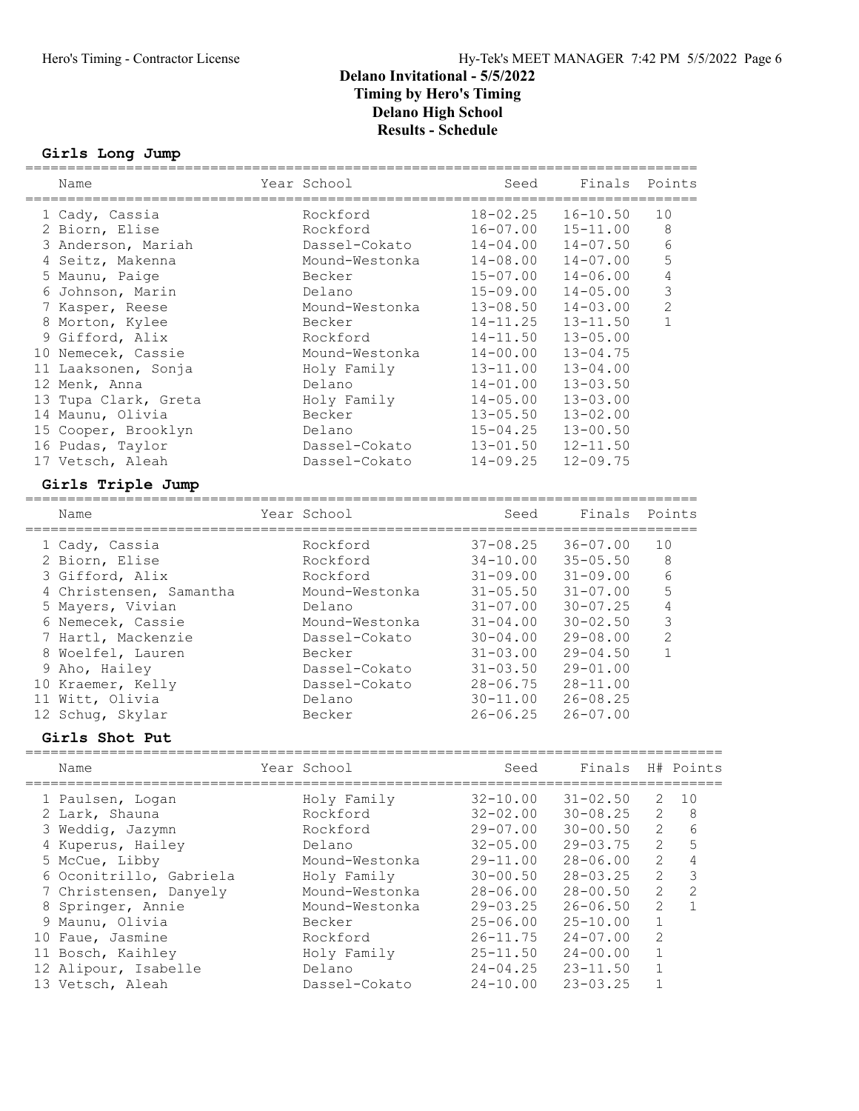#### Girls Long Jump

| Name                    | Year School           | Seed                         | Finals       | Points       |                |
|-------------------------|-----------------------|------------------------------|--------------|--------------|----------------|
| 1 Cady, Cassia          | Rockford              | $18 - 02.25$                 | $16 - 10.50$ | 10           |                |
| 2 Biorn, Elise          | Rockford              | $16 - 07.00$                 | $15 - 11.00$ |              | 8              |
| 3 Anderson, Mariah      | Dassel-Cokato         | $14 - 04.00$                 | $14 - 07.50$ |              | 6              |
| 4 Seitz, Makenna        | Mound-Westonka        | $14 - 08.00$                 | $14 - 07.00$ |              | 5              |
| 5 Maunu, Paige          | Becker                | $15 - 07.00$                 | $14 - 06.00$ |              | 4              |
| 6 Johnson, Marin        | Delano                | $15 - 09.00$                 | $14 - 05.00$ |              | 3              |
| 7 Kasper, Reese         | Mound-Westonka        | $13 - 08.50$                 | $14 - 03.00$ |              | $\overline{2}$ |
| 8 Morton, Kylee         | Becker                | $14 - 11.25$                 | $13 - 11.50$ |              | 1              |
| 9 Gifford, Alix         | Rockford              | $14 - 11.50$                 | $13 - 05.00$ |              |                |
| 10 Nemecek, Cassie      | Mound-Westonka        | $14 - 00.00$                 | $13 - 04.75$ |              |                |
| 11 Laaksonen, Sonja     | Holy Family           | $13 - 11.00$                 | $13 - 04.00$ |              |                |
| 12 Menk, Anna           | Delano                | $14 - 01.00$                 | $13 - 03.50$ |              |                |
| 13 Tupa Clark, Greta    | Holy Family           | $14 - 05.00$                 | $13 - 03.00$ |              |                |
| 14 Maunu, Olivia        | Becker                | $13 - 05.50$                 | $13 - 02.00$ |              |                |
| 15 Cooper, Brooklyn     | Delano                | $15 - 04.25$                 | $13 - 00.50$ |              |                |
| 16 Pudas, Taylor        | Dassel-Cokato         | $13 - 01.50$                 | $12 - 11.50$ |              |                |
| 17 Vetsch, Aleah        | Dassel-Cokato         | $14 - 09.25$                 | $12 - 09.75$ |              |                |
| Girls Triple Jump       |                       |                              |              |              |                |
| Name                    | Year School           | Seed                         | Finals       |              | Points         |
|                         |                       |                              |              |              |                |
| 1 Cady, Cassia          | Rockford              | $37 - 08.25$                 | $36 - 07.00$ | 10           |                |
| 2 Biorn, Elise          | Rockford              | $34 - 10.00$                 | $35 - 05.50$ |              | 8              |
| 3 Gifford, Alix         | Rockford              | $31 - 09.00$                 | $31 - 09.00$ |              | 6              |
| 4 Christensen, Samantha | Mound-Westonka        | $31 - 05.50$                 | $31 - 07.00$ |              | 5              |
| 5 Mayers, Vivian        | Delano                | $31 - 07.00$                 | $30 - 07.25$ |              | $\overline{4}$ |
| 6 Nemecek, Cassie       | Mound-Westonka        | $31 - 04.00$                 | $30 - 02.50$ |              | 3              |
| 7 Hartl, Mackenzie      | Dassel-Cokato         | $30 - 04.00$                 | $29 - 08.00$ |              | $\overline{c}$ |
| 8 Woelfel, Lauren       | Becker                | $31 - 03.00$                 | $29 - 04.50$ |              | $\mathbf{1}$   |
| 9 Aho, Hailey           | Dassel-Cokato         | $31 - 03.50$                 | $29 - 01.00$ |              |                |
| 10 Kraemer, Kelly       | Dassel-Cokato         | $28 - 06.75$                 | $28 - 11.00$ |              |                |
| 11 Witt, Olivia         | Delano                | $30 - 11.00$                 | $26 - 08.25$ |              |                |
| 12 Schug, Skylar        | Becker                | $26 - 06.25$                 | $26 - 07.00$ |              |                |
| Girls Shot Put          |                       |                              |              |              |                |
| Name                    | Year School           | Seed                         | Finals       |              | H# Points      |
| 1 Paulsen, Logan        | Holy Family           | $32 - 10.00$                 | $31 - 02.50$ | $\mathbf{2}$ | 10             |
| 2 Lark, Shauna          | Rockford              | $32 - 02.00$                 | $30 - 08.25$ | $\mathbf{2}$ | 8              |
| 3 Weddig, Jazymn        | Rockford              | $29 - 07.00$                 | $30 - 00.50$ | $\mathbf{2}$ | 6              |
| 4 Kuperus, Hailey       | Delano                | $32 - 05.00$                 | $29 - 03.75$ | 2            | 5              |
| 5 McCue, Libby          | Mound-Westonka        | $29 - 11.00$                 | $28 - 06.00$ | $\mathbf{2}$ | $\sqrt{4}$     |
| 6 Oconitrillo, Gabriela | Holy Family           | $30 - 00.50$                 | $28 - 03.25$ | $\mathbf{2}$ | $\mathfrak{Z}$ |
| 7 Christensen, Danyely  | Mound-Westonka        | $28 - 06.00$                 | $28 - 00.50$ | $\mathbf{2}$ | $\mathbf{2}$   |
| 8 Springer, Annie       | Mound-Westonka        | $29 - 03.25$                 | $26 - 06.50$ | $\mathbf{2}$ | $\mathbf{1}$   |
| 9 Maunu, Olivia         | Becker                | $25 - 06.00$                 | $25 - 10.00$ | $\mathbf 1$  |                |
| 10 Faue, Jasmine        | Rockford              | $26 - 11.75$                 | $24 - 07.00$ | 2            |                |
| 11 Bosch, Kaihley       |                       |                              | $24 - 00.00$ | $1\,$        |                |
|                         | Holy Family<br>Delano | $25 - 11.50$<br>$24 - 04.25$ | $23 - 11.50$ | $\mathbf 1$  |                |
| 12 Alipour, Isabelle    |                       |                              |              | $1\,$        |                |
| 13 Vetsch, Aleah        | Dassel-Cokato         | $24 - 10.00$                 | $23 - 03.25$ |              |                |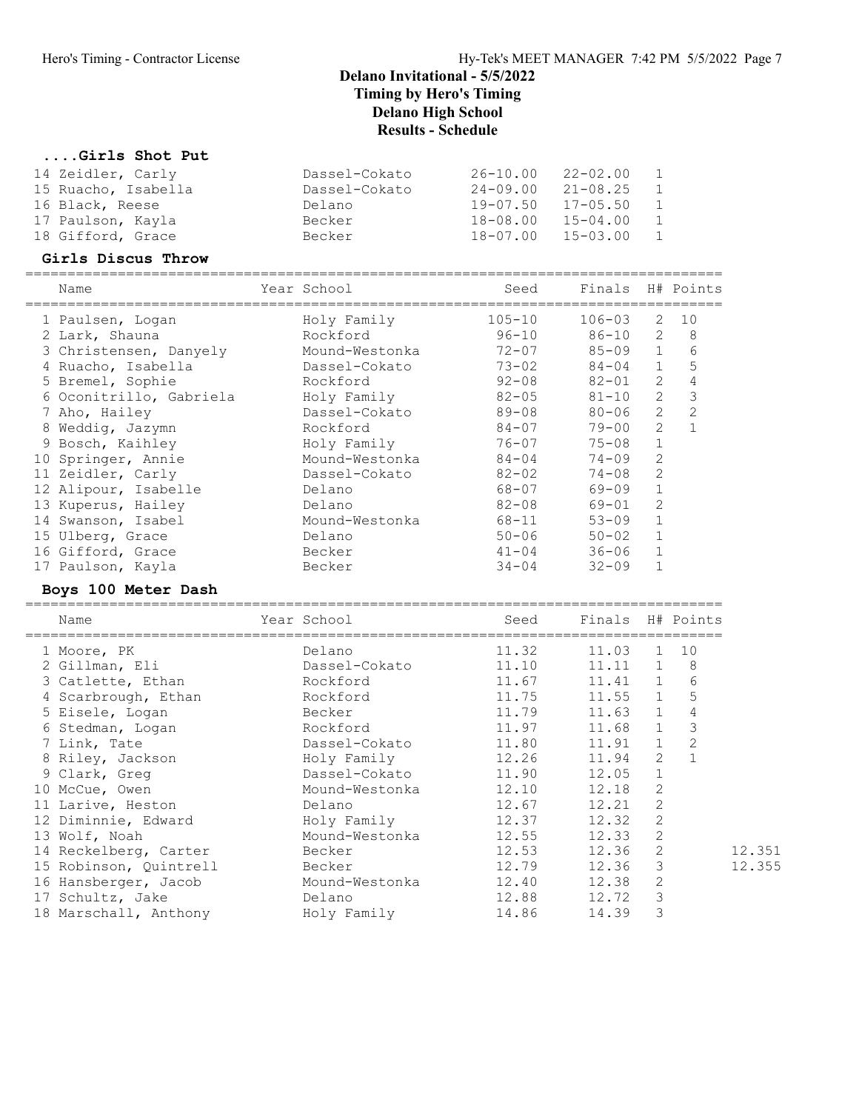### ....Girls Shot Put

| 14 Zeidler, Carly   | Dassel-Cokato | $26 - 10.00$ | 22-02.00     |  |
|---------------------|---------------|--------------|--------------|--|
| 15 Ruacho, Isabella | Dassel-Cokato | $24 - 09.00$ | $21 - 08.25$ |  |
| 16 Black, Reese     | Delano        | 19-07.50     | $17 - 05.50$ |  |
| 17 Paulson, Kayla   | Becker        | 18-08.00     | $15 - 04.00$ |  |
| 18 Gifford, Grace   | Becker        | 18-07.00     | 15-03.00     |  |

#### Girls Discus Throw

| Name                    | Year School    | Seed       | Finals H# Points |                |    |
|-------------------------|----------------|------------|------------------|----------------|----|
| 1 Paulsen, Logan        | Holy Family    | $105 - 10$ | $106 - 03$       | 2              | 10 |
| 2 Lark, Shauna          | Rockford       | $96 - 10$  | 86-10            | 2              | 8  |
| 3 Christensen, Danyely  | Mound-Westonka | $72 - 07$  | $85 - 09$ 1      |                | 6  |
| 4 Ruacho, Isabella      | Dassel-Cokato  | $73 - 02$  | 84-04            | $\mathbf{1}$   | 5  |
| 5 Bremel, Sophie        | Rockford       | $92 - 08$  | $82 - 01$        | 2              | 4  |
| 6 Oconitrillo, Gabriela | Holy Family    | $82 - 05$  | $81 - 10$        | 2              | 3  |
| 7 Aho, Hailey           | Dassel-Cokato  | 89-08      | $80 - 06$        | 2              | 2  |
| 8 Weddig, Jazymn        | Rockford       | 84-07      | $79 - 00$        | $\mathfrak{D}$ |    |
| 9 Bosch, Kaihley        | Holy Family    | $76 - 07$  | $75 - 08$        |                |    |
| 10 Springer, Annie      | Mound-Westonka | $84 - 04$  | $74 - 09$        | $\mathfrak{D}$ |    |
| 11 Zeidler, Carly       | Dassel-Cokato  | $82 - 02$  | $74 - 08$        | $\mathcal{L}$  |    |
| 12 Alipour, Isabelle    | Delano         | 68-07      | $69 - 09$        |                |    |
| 13 Kuperus, Hailey      | Delano         | 82-08      | 69-01            | 2              |    |
| 14 Swanson, Isabel      | Mound-Westonka | 68-11      | $53 - 09$        |                |    |
| 15 Ulberg, Grace        | Delano         | $50 - 06$  | $50 - 02$        |                |    |
| 16 Gifford, Grace       | Becker         | $41 - 04$  | $36 - 06$        |                |    |
| 17 Paulson, Kayla       | Becker         | $34 - 04$  | $32 - 09$        |                |    |
|                         |                |            |                  |                |    |

### Boys 100 Meter Dash

| Name                         | Year School             | Seed  | Finals H# Points |                |               |        |
|------------------------------|-------------------------|-------|------------------|----------------|---------------|--------|
| 1 Moore, PK                  | Delano                  | 11.32 | 11.03            |                | 1 10          |        |
| 2 Gillman, Eli               | Dassel-Cokato           | 11.10 | $11.11$ 1 8      |                |               |        |
| 3 Catlette, Ethan            | Rockford                | 11.67 | 11.41 1          |                | 6             |        |
| 4 Scarbrough, Ethan Rockford |                         | 11.75 | 11.55 1          |                | 5             |        |
| 5 Eisele, Logan              | <b>Example 2</b> Becker | 11.79 | $11.63$ 1        |                | 4             |        |
| 6 Stedman, Logan             | Rockford                | 11.97 | 11.68 1          |                | $\mathcal{E}$ |        |
| 7 Link, Tate                 | Dassel-Cokato           | 11.80 | $11.91$ 1        |                | 2             |        |
| 8 Riley, Jackson             | Holy Family             | 12.26 | 11.94            | $\overline{2}$ | $\mathbf{1}$  |        |
| 9 Clark, Greg                | Dassel-Cokato           | 11.90 | 12.05            | $\mathbf{1}$   |               |        |
| 10 McCue, Owen               | Mound-Westonka          | 12.10 | 12.18            | 2              |               |        |
| 11 Larive, Heston            | Delano                  | 12.67 | 12.21            | 2              |               |        |
| 12 Diminnie, Edward          | Holy Family             | 12.37 | 12.32            | 2              |               |        |
| 13 Wolf, Noah                | Mound-Westonka          | 12.55 | 12.33            | 2              |               |        |
| 14 Reckelberg, Carter        | Becker                  | 12.53 | 12.36            | 2              |               | 12.351 |
| 15 Robinson, Quintrell       | Becker                  | 12.79 | 12.36            | 3              |               | 12.355 |
| 16 Hansberger, Jacob         | Mound-Westonka          | 12.40 | 12.38            | 2              |               |        |
| 17 Schultz, Jake             | Delano                  |       | 12.88 12.72      | 3              |               |        |
| 18 Marschall, Anthony        | Holy Family             | 14.86 | 14.39            | 3              |               |        |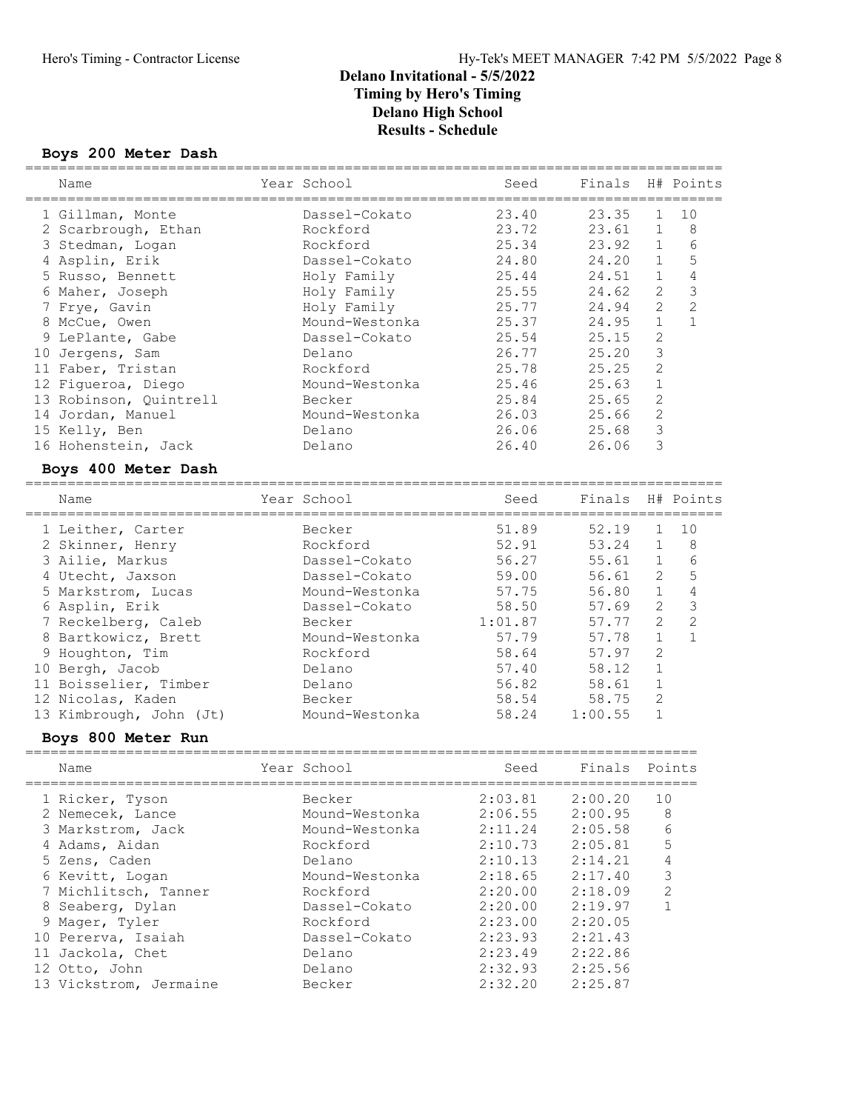#### Boys 200 Meter Dash ===================================================================================

| Name                    | Year School    | Seed    | Finals  |                | H# Points      |
|-------------------------|----------------|---------|---------|----------------|----------------|
| 1 Gillman, Monte        | Dassel-Cokato  | 23.40   | 23.35   | 1              | 10             |
| 2 Scarbrough, Ethan     | Rockford       | 23.72   | 23.61   | $\mathbf 1$    | $\,8\,$        |
| 3 Stedman, Logan        | Rockford       | 25.34   | 23.92   | $\mathbf 1$    | 6              |
| 4 Asplin, Erik          | Dassel-Cokato  | 24.80   | 24.20   | $\mathbf 1$    | 5              |
| 5 Russo, Bennett        | Holy Family    | 25.44   | 24.51   | $\mathbf{1}$   | $\overline{4}$ |
| 6 Maher, Joseph         | Holy Family    | 25.55   | 24.62   | $\mathbf{2}$   | $\mathfrak{Z}$ |
| 7 Frye, Gavin           | Holy Family    | 25.77   | 24.94   | $\overline{2}$ | $\overline{c}$ |
| 8 McCue, Owen           | Mound-Westonka | 25.37   | 24.95   | $\mathbf{1}$   | $\mathbf{1}$   |
| 9 LePlante, Gabe        | Dassel-Cokato  | 25.54   | 25.15   | $\overline{2}$ |                |
| 10 Jergens, Sam         | Delano         | 26.77   | 25.20   | 3              |                |
| 11 Faber, Tristan       | Rockford       | 25.78   | 25.25   | $\overline{c}$ |                |
| 12 Figueroa, Diego      | Mound-Westonka | 25.46   | 25.63   | $\mathbf{1}$   |                |
| 13 Robinson, Quintrell  | Becker         | 25.84   | 25.65   | $\mathbf{2}$   |                |
| 14 Jordan, Manuel       | Mound-Westonka | 26.03   | 25.66   | $\overline{c}$ |                |
| 15 Kelly, Ben           | Delano         | 26.06   | 25.68   | 3              |                |
| 16 Hohenstein, Jack     | Delano         | 26.40   | 26.06   | 3              |                |
| Boys 400 Meter Dash     |                |         |         |                |                |
|                         |                |         |         |                |                |
| Name                    | Year School    | Seed    | Finals  |                | H# Points      |
| 1 Leither, Carter       | Becker         | 51.89   | 52.19   | 1              | 10             |
| 2 Skinner, Henry        | Rockford       | 52.91   | 53.24   | $\mathbf{1}$   | 8              |
| 3 Ailie, Markus         | Dassel-Cokato  | 56.27   | 55.61   | $\mathbf{1}$   | 6              |
| 4 Utecht, Jaxson        | Dassel-Cokato  | 59.00   | 56.61   | 2              | 5              |
| 5 Markstrom, Lucas      | Mound-Westonka | 57.75   | 56.80   | $\mathbf 1$    | $\sqrt{4}$     |
| 6 Asplin, Erik          | Dassel-Cokato  | 58.50   | 57.69   | 2              | $\mathfrak{Z}$ |
| 7 Reckelberg, Caleb     | Becker         | 1:01.87 | 57.77   | $\overline{c}$ | $\overline{c}$ |
| 8 Bartkowicz, Brett     | Mound-Westonka | 57.79   | 57.78   | $\mathbf{1}$   | $\mathbf{1}$   |
| 9 Houghton, Tim         | Rockford       | 58.64   | 57.97   | $\mathbf{2}$   |                |
| 10 Bergh, Jacob         | Delano         | 57.40   | 58.12   | $\mathbf{1}$   |                |
| 11 Boisselier, Timber   | Delano         | 56.82   | 58.61   | $\mathbf{1}$   |                |
| 12 Nicolas, Kaden       | Becker         | 58.54   | 58.75   | $\mathbf{2}$   |                |
| 13 Kimbrough, John (Jt) | Mound-Westonka | 58.24   | 1:00.55 | $\mathbf{1}$   |                |
|                         |                |         |         |                |                |
| Boys 800 Meter Run      |                |         |         |                |                |
| Name                    | Year School    | Seed    | Finals  |                | Points         |
| 1 Ricker, Tyson         | Becker         | 2:03.81 | 2:00.20 | 10             |                |
| 2 Nemecek, Lance        | Mound-Westonka | 2:06.55 | 2:00.95 |                | 8              |
| 3 Markstrom, Jack       | Mound-Westonka | 2:11.24 | 2:05.58 |                | 6              |
| 4 Adams, Aidan          | Rockford       | 2:10.73 | 2:05.81 |                | 5              |
| 5 Zens, Caden           | Delano         | 2:10.13 | 2:14.21 |                | 4              |
| 6 Kevitt, Logan         | Mound-Westonka | 2:18.65 | 2:17.40 |                | 3              |
| 7 Michlitsch, Tanner    | Rockford       | 2:20.00 | 2:18.09 |                | $\mathbf{2}$   |
| 8 Seaberg, Dylan        | Dassel-Cokato  | 2:20.00 | 2:19.97 |                | $\mathbf{1}$   |
| 9 Mager, Tyler          | Rockford       | 2:23.00 | 2:20.05 |                |                |
| 10 Pererva, Isaiah      | Dassel-Cokato  | 2:23.93 | 2:21.43 |                |                |
| 11 Jackola, Chet        | Delano         | 2:23.49 | 2:22.86 |                |                |
| 12 Otto, John           | Delano         | 2:32.93 | 2:25.56 |                |                |
| 13 Vickstrom, Jermaine  | Becker         | 2:32.20 | 2:25.87 |                |                |
|                         |                |         |         |                |                |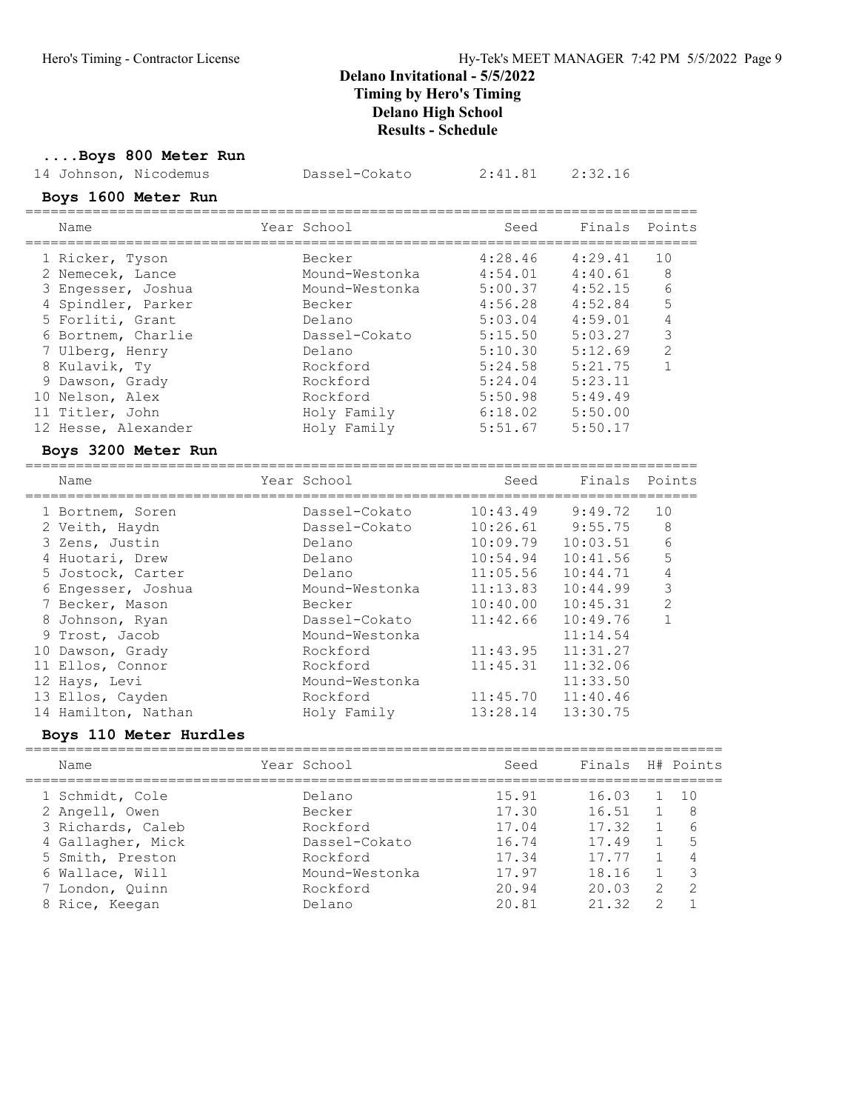# ....Boys 800 Meter Run

|                                  | 14 Johnson, Nicodemus                | Dassel-Cokato           | 2:41.81                                       | 2:32.16  |                  |
|----------------------------------|--------------------------------------|-------------------------|-----------------------------------------------|----------|------------------|
|                                  | Boys 1600 Meter Run                  |                         |                                               |          |                  |
| Name                             |                                      | Year School             | Seed                                          | Finals   | Points           |
| 1 Ricker, Tyson                  |                                      | Becker                  | 4:28.46                                       | 4:29.41  | 10               |
| 2 Nemecek, Lance                 |                                      | Mound-Westonka          | 4:54.01                                       | 4:40.61  | 8                |
| 3 Engesser, Joshua               |                                      | Mound-Westonka          | 5:00.37                                       | 4:52.15  | 6                |
| 4 Spindler, Parker               |                                      | Becker                  | 4:56.28                                       | 4:52.84  | 5                |
| 5 Forliti, Grant                 |                                      | Delano                  | 5:03.04                                       | 4:59.01  | 4                |
| 6 Bortnem, Charlie               |                                      | Dassel-Cokato           | 5:15.50                                       | 5:03.27  | $\mathfrak{Z}$   |
| 7 Ulberg, Henry                  |                                      | Delano                  | 5:10.30                                       | 5:12.69  | $\overline{2}$   |
| 8 Kulavik, Ty                    |                                      | Rockford                | 5:24.58                                       | 5:21.75  | $\mathbf{1}$     |
| 9 Dawson, Grady                  |                                      | Rockford                | 5:24.04                                       | 5:23.11  |                  |
| 10 Nelson, Alex                  |                                      | Rockford                | 5:50.98                                       | 5:49.49  |                  |
| 11 Titler, John                  |                                      | Holy Family             | 6:18.02                                       | 5:50.00  |                  |
| 12 Hesse, Alexander              |                                      | Holy Family             | 5:51.67                                       | 5:50.17  |                  |
|                                  | Boys 3200 Meter Run                  |                         |                                               |          |                  |
|                                  |                                      |                         |                                               |          |                  |
| Name                             |                                      | Year School             | Seed                                          | Finals   | Points           |
| 1 Bortnem, Soren                 | ____________________________________ | Dassel-Cokato           | ---------------------------------<br>10:43.49 | 9:49.72  | ==========<br>10 |
|                                  |                                      | Dassel-Cokato           | 10:26.61                                      | 9:55.75  | 8                |
| 2 Veith, Haydn<br>3 Zens, Justin |                                      | Delano                  | 10:09.79                                      | 10:03.51 | 6                |
| 4 Huotari, Drew                  |                                      | Delano                  | 10:54.94                                      | 10:41.56 | 5                |
| 5 Jostock, Carter                |                                      | Delano                  | 11:05.56                                      | 10:44.71 | 4                |
| 6 Engesser, Joshua               |                                      | Mound-Westonka          | 11:13.83                                      | 10:44.99 | $\mathfrak{Z}$   |
| 7 Becker, Mason                  |                                      | Becker                  | 10:40.00                                      | 10:45.31 | $\overline{2}$   |
| 8 Johnson, Ryan                  |                                      | Dassel-Cokato           | 11:42.66                                      | 10:49.76 | $\mathbf{1}$     |
| 9 Trost, Jacob                   |                                      | Mound-Westonka          |                                               | 11:14.54 |                  |
| 10 Dawson, Grady                 |                                      | Rockford                | 11:43.95                                      | 11:31.27 |                  |
| 11 Ellos, Connor                 |                                      | Rockford                | 11:45.31                                      | 11:32.06 |                  |
| 12 Hays, Levi                    |                                      | Mound-Westonka          |                                               | 11:33.50 |                  |
| 13 Ellos, Cayden                 |                                      | Rockford<br>Holy Family | 11:45.70                                      | 11:40.46 |                  |

# Boys 110 Meter Hurdles

| Name              | Year School    | Seed  | Finals H# Points |               |     |
|-------------------|----------------|-------|------------------|---------------|-----|
| 1 Schmidt, Cole   | Delano         | 15.91 | 16.03            |               | 1() |
| 2 Angell, Owen    | Becker         | 17.30 | 16.51            |               | -8  |
| 3 Richards, Caleb | Rockford       | 17.04 | 17.32            |               | 6   |
| 4 Gallagher, Mick | Dassel-Cokato  | 16.74 | 17.49            | $\mathbf{1}$  | .5  |
| 5 Smith, Preston  | Rockford       | 17.34 | 17 77            |               |     |
| 6 Wallace, Will   | Mound-Westonka | 17.97 | 18.16            |               |     |
| 7 London, Quinn   | Rockford       | 20.94 | 20 03            | $\mathcal{L}$ | 2   |
| 8 Rice, Keegan    | Delano         | 20 81 | 2132             | $\mathcal{P}$ |     |
|                   |                |       |                  |               |     |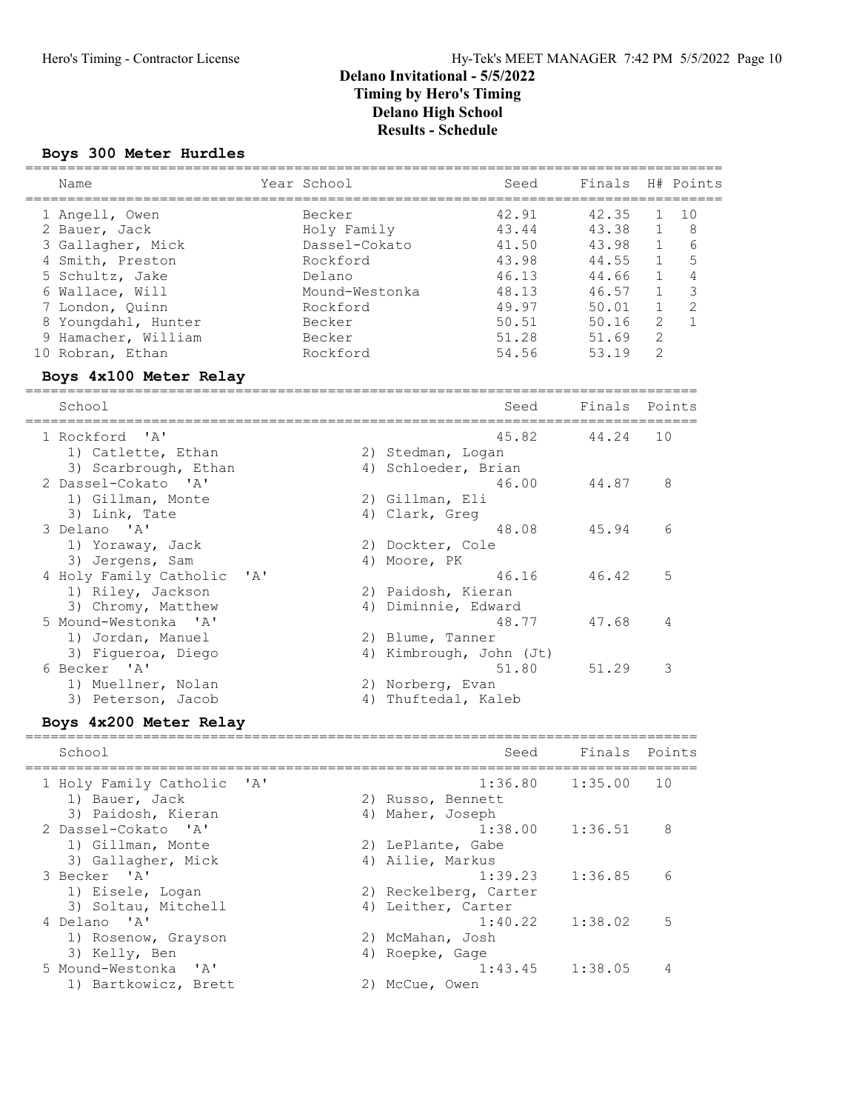### Boys 300 Meter Hurdles

| Name                                                                                                                                                                                                                                                                                                                                                               |      | Year School                                                                                                                |                                                                                                                                                                                                     | Seed                                                                                   | Finals                                                                                 |                                                                                                                                | H# Points                                                     |
|--------------------------------------------------------------------------------------------------------------------------------------------------------------------------------------------------------------------------------------------------------------------------------------------------------------------------------------------------------------------|------|----------------------------------------------------------------------------------------------------------------------------|-----------------------------------------------------------------------------------------------------------------------------------------------------------------------------------------------------|----------------------------------------------------------------------------------------|----------------------------------------------------------------------------------------|--------------------------------------------------------------------------------------------------------------------------------|---------------------------------------------------------------|
| 1 Angell, Owen<br>2 Bauer, Jack<br>3 Gallagher, Mick<br>4 Smith, Preston<br>5 Schultz, Jake<br>6 Wallace, Will<br>7 London, Quinn<br>8 Youngdahl, Hunter<br>9 Hamacher, William<br>10 Robran, Ethan                                                                                                                                                                |      | Becker<br>Holy Family<br>Dassel-Cokato<br>Rockford<br>Delano<br>Mound-Westonka<br>Rockford<br>Becker<br>Becker<br>Rockford |                                                                                                                                                                                                     | 42.91<br>43.44<br>41.50<br>43.98<br>46.13<br>48.13<br>49.97<br>50.51<br>51.28<br>54.56 | 42.35<br>43.38<br>43.98<br>44.55<br>44.66<br>46.57<br>50.01<br>50.16<br>51.69<br>53.19 | 1<br>$\mathbf 1$<br>$\mathbf{1}$<br>$\mathbf{1}$<br>1<br>$\mathbf{1}$<br>$\mathbf{1}$<br>$\overline{c}$<br>$\overline{2}$<br>2 | 10<br>8<br>6<br>5<br>4<br>3<br>$\overline{c}$<br>$\mathbf{1}$ |
| Boys 4x100 Meter Relay<br>========<br>School                                                                                                                                                                                                                                                                                                                       |      |                                                                                                                            |                                                                                                                                                                                                     | Seed                                                                                   | Finals                                                                                 |                                                                                                                                | Points                                                        |
|                                                                                                                                                                                                                                                                                                                                                                    |      |                                                                                                                            |                                                                                                                                                                                                     |                                                                                        |                                                                                        |                                                                                                                                |                                                               |
| 1 Rockford<br>' A'<br>1) Catlette, Ethan<br>3) Scarbrough, Ethan<br>2 Dassel-Cokato 'A'<br>1) Gillman, Monte<br>3) Link, Tate<br>3 Delano 'A'<br>1) Yoraway, Jack<br>3) Jergens, Sam<br>4 Holy Family Catholic<br>1) Riley, Jackson<br>3) Chromy, Matthew<br>5 Mound-Westonka 'A'<br>1) Jordan, Manuel<br>3) Figueroa, Diego<br>6 Becker 'A'<br>1) Muellner, Nolan | ' A' | 4)                                                                                                                         | 2) Stedman, Logan<br>4) Schloeder, Brian<br>2) Gillman, Eli<br>4) Clark, Greg<br>2) Dockter, Cole<br>Moore, PK<br>2) Paidosh, Kieran<br>4) Diminnie, Edward<br>2) Blume, Tanner<br>2) Norberg, Evan | 45.82<br>46.00<br>48.08<br>46.16<br>48.77<br>4) Kimbrough, John (Jt)<br>51.80          | 44.24<br>44.87<br>45.94<br>46.42<br>47.68<br>51.29                                     | 10<br>8<br>6<br>5<br>4<br>3                                                                                                    |                                                               |
| 3) Peterson, Jacob<br>Boys 4x200 Meter Relay                                                                                                                                                                                                                                                                                                                       |      |                                                                                                                            | 4) Thuftedal, Kaleb                                                                                                                                                                                 |                                                                                        |                                                                                        |                                                                                                                                |                                                               |
| School                                                                                                                                                                                                                                                                                                                                                             |      |                                                                                                                            |                                                                                                                                                                                                     | Seed                                                                                   | Finals                                                                                 |                                                                                                                                | Points                                                        |
| 1 Holy Family Catholic<br>1) Bauer, Jack<br>3) Paidosh, Kieran                                                                                                                                                                                                                                                                                                     | ' A' |                                                                                                                            | 2) Russo, Bennett<br>4) Maher, Joseph                                                                                                                                                               | 1:36.80                                                                                | 1:35.00                                                                                | 10                                                                                                                             |                                                               |
| 2 Dassel-Cokato 'A'<br>1) Gillman, Monte<br>3) Gallagher, Mick                                                                                                                                                                                                                                                                                                     |      |                                                                                                                            | 2) LePlante, Gabe<br>4) Ailie, Markus                                                                                                                                                               | 1:38.00                                                                                | 1:36.51                                                                                | 8                                                                                                                              |                                                               |
| 3 Becker 'A'<br>1) Eisele, Logan<br>3) Soltau, Mitchell                                                                                                                                                                                                                                                                                                            |      |                                                                                                                            | 4) Leither, Carter                                                                                                                                                                                  | 1:39.23<br>2) Reckelberg, Carter                                                       | 1:36.85                                                                                | 6                                                                                                                              |                                                               |
| 4 Delano 'A'<br>1) Rosenow, Grayson<br>3) Kelly, Ben                                                                                                                                                                                                                                                                                                               |      |                                                                                                                            | 2) McMahan, Josh<br>4) Roepke, Gage                                                                                                                                                                 | 1:40.22                                                                                | 1:38.02                                                                                | 5                                                                                                                              |                                                               |
| 5 Mound-Westonka<br>$^{\prime}$ A $^{\prime}$<br>1) Bartkowicz, Brett                                                                                                                                                                                                                                                                                              |      |                                                                                                                            | 2) McCue, Owen                                                                                                                                                                                      | 1:43.45                                                                                | 1:38.05                                                                                | 4                                                                                                                              |                                                               |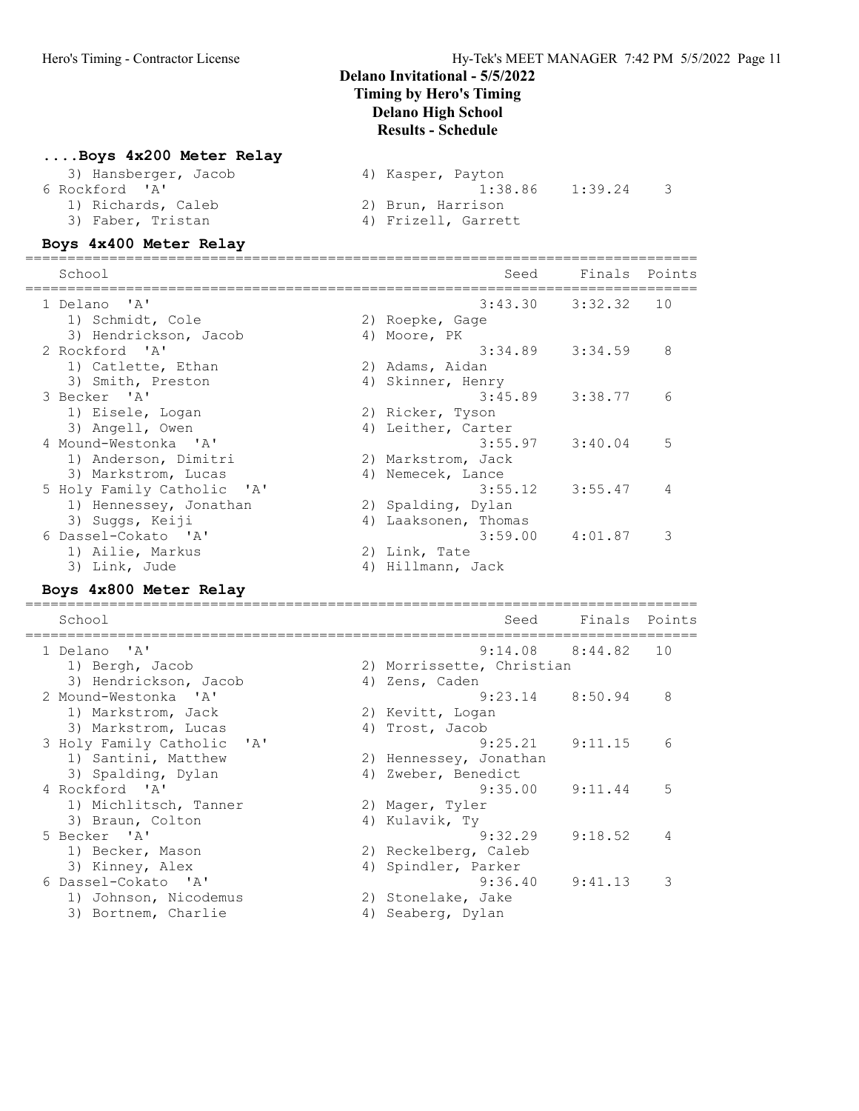### ....Boys 4x200 Meter Relay

| 3) Hansberger, Jacob | 4) Kasper, Payton   |
|----------------------|---------------------|
| 6 Rockford 'A'       | 1:39.24<br>1:38.86  |
| 1) Richards, Caleb   | 2) Brun, Harrison   |
| 3) Faber, Tristan    | 4) Frizell, Garrett |

#### Boys 4x400 Meter Relay

| School                                 |    | Seed               | Finals Points       |    |
|----------------------------------------|----|--------------------|---------------------|----|
| 1 Delano 'A'                           |    |                    | $3:43.30$ $3:32.32$ | 10 |
| 1) Schmidt, Cole                       |    | 2) Roepke, Gage    |                     |    |
| 3) Hendrickson, Jacob                  |    | 4) Moore, PK       |                     |    |
| 2 Rockford 'A'                         |    |                    | $3:34.89$ $3:34.59$ | 8  |
| 1) Catlette, Ethan                     |    | 2) Adams, Aidan    |                     |    |
| 3) Smith, Preston                      | 4) | Skinner, Henry     |                     |    |
| 3 Becker 'A'                           |    | 3:45.89            | 3:38.77             | 6  |
| 1) Eisele, Logan                       |    | 2) Ricker, Tyson   |                     |    |
| 3) Angell, Owen                        |    | 4) Leither, Carter |                     |    |
| 4 Mound-Westonka 'A'                   |    |                    | $3:55.97$ $3:40.04$ | 5  |
| 1) Anderson, Dimitri                   |    | 2) Markstrom, Jack |                     |    |
| 3) Markstrom, Lucas                    |    | 4) Nemecek, Lance  |                     |    |
| 5 Holy Family Catholic<br>$\mathsf{A}$ |    | 3:55.12            | 3:55.47             | 4  |
| 1) Hennessey, Jonathan                 |    | 2) Spalding, Dylan |                     |    |
| 3) Suggs, Keiji                        | 4) | Laaksonen, Thomas  |                     |    |
| 6 Dassel-Cokato 'A'                    |    | 3:59.00            | 4:01.87             | 3  |
| 1) Ailie, Markus                       |    | 2) Link, Tate      |                     |    |
| 3) Link, Jude                          | 4) | Hillmann, Jack     |                     |    |

#### Boys 4x800 Meter Relay

| School                                              |    | Seed                      | Finals              | Points |
|-----------------------------------------------------|----|---------------------------|---------------------|--------|
| 1 Delano 'A'                                        |    |                           | $9:14.08$ $8:44.82$ | 10     |
| 1) Bergh, Jacob                                     |    | 2) Morrissette, Christian |                     |        |
| 3) Hendrickson, Jacob                               |    | 4) Zens, Caden            |                     |        |
| 2 Mound-Westonka 'A'                                |    | $9:23.14$ $8:50.94$       |                     | 8      |
| 1) Markstrom, Jack                                  |    | 2) Kevitt, Logan          |                     |        |
| 3) Markstrom, Lucas                                 |    | 4) Trost, Jacob           |                     |        |
| 3 Holy Family Catholic<br>$^{\prime}$ A $^{\prime}$ |    | 9:25.21                   | 9:11.15             | 6      |
| 1) Santini, Matthew                                 |    | 2) Hennessey, Jonathan    |                     |        |
| 3) Spalding, Dylan                                  | 4) | Zweber, Benedict          |                     |        |
| 4 Rockford 'A'                                      |    | 9:35.00                   | 9:11.44             | 5      |
| 1) Michlitsch, Tanner                               |    | 2) Mager, Tyler           |                     |        |
| 3) Braun, Colton                                    |    | 4) Kulavik, Ty            |                     |        |
| 5 Becker 'A'                                        |    | 9:32.29                   | 9:18.52             | 4      |
| 1) Becker, Mason                                    |    | 2) Reckelberg, Caleb      |                     |        |
| 3) Kinney, Alex                                     |    | 4) Spindler, Parker       |                     |        |
| 6 Dassel-Cokato 'A'                                 |    | 9:36.40                   | 9:41.13             | 3      |
| 1) Johnson, Nicodemus                               |    | 2) Stonelake, Jake        |                     |        |
| 3) Bortnem, Charlie                                 | 4) | Seaberg, Dylan            |                     |        |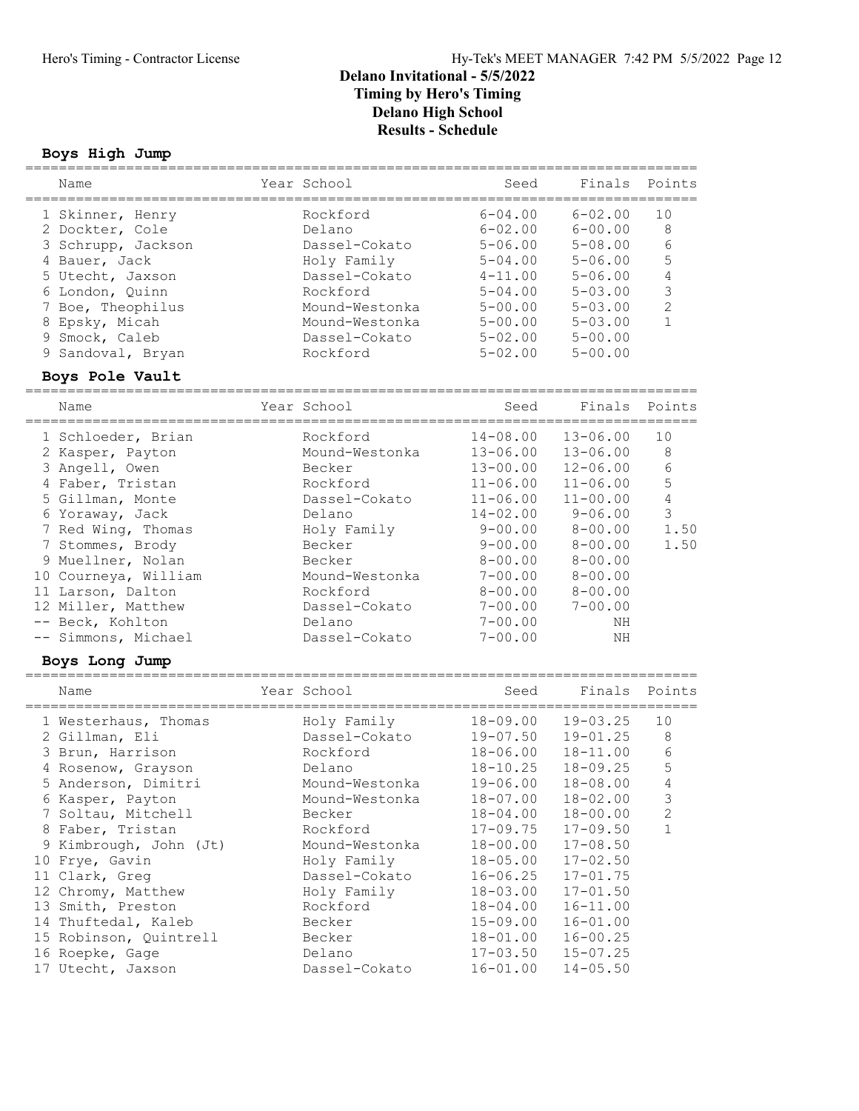#### Boys High Jump

| Name               | Year School    | Seed        | Finals         | Points         |
|--------------------|----------------|-------------|----------------|----------------|
|                    |                |             |                |                |
| 1 Skinner, Henry   | Rockford       | $6 - 04.00$ | $6 - 02.00$    | 10             |
| 2 Dockter, Cole    | Delano         | $6 - 02.00$ | $6 - 00.00$    | 8              |
| 3 Schrupp, Jackson | Dassel-Cokato  | $5 - 06.00$ | $5 - 08.00$    | 6              |
| 4 Bauer, Jack      | Holy Family    | $5 - 04.00$ | $5 - 06.00$    | 5              |
| 5 Utecht, Jaxson   | Dassel-Cokato  | $4 - 11.00$ | $5 - 06.00$    | 4              |
| 6 London, Ouinn    | Rockford       | $5 - 04.00$ | $5 - 0.3$ , 00 |                |
| 7 Boe, Theophilus  | Mound-Westonka | $5 - 00.00$ | $5 - 0.3$ , 00 | $\mathfrak{D}$ |
| 8 Epsky, Micah     | Mound-Westonka | $5 - 00.00$ | $5 - 0.3$ , 00 |                |
| 9 Smock, Caleb     | Dassel-Cokato  | $5 - 02.00$ | $5 - 00.00$    |                |
| 9 Sandoval, Bryan  | Rockford       | $5 - 02.00$ | $5 - 00.00$    |                |
| Boys Pole Vault    |                |             |                |                |

| Name                                                                                                                                                                                                                                                                                                                                                                    | Year School                                                                                                                                                                                                                              | Seed                                                                                                                                                                                                                                                             | Finals                                                                                                                                                                                                                                                                       | Points                                                                                              |
|-------------------------------------------------------------------------------------------------------------------------------------------------------------------------------------------------------------------------------------------------------------------------------------------------------------------------------------------------------------------------|------------------------------------------------------------------------------------------------------------------------------------------------------------------------------------------------------------------------------------------|------------------------------------------------------------------------------------------------------------------------------------------------------------------------------------------------------------------------------------------------------------------|------------------------------------------------------------------------------------------------------------------------------------------------------------------------------------------------------------------------------------------------------------------------------|-----------------------------------------------------------------------------------------------------|
| 1 Schloeder, Brian<br>2 Kasper, Payton<br>3 Angell, Owen<br>4 Faber, Tristan<br>5 Gillman, Monte<br>6 Yoraway, Jack<br>7 Red Wing, Thomas<br>7 Stommes, Brody<br>9 Muellner, Nolan<br>10 Courneya, William<br>11 Larson, Dalton<br>12 Miller, Matthew<br>-- Beck, Kohlton<br>-- Simmons, Michael                                                                        | Rockford<br>Mound-Westonka<br>Becker<br>Rockford<br>Dassel-Cokato<br>Delano<br>Holy Family<br>Becker<br>Becker<br>Mound-Westonka<br>Rockford<br>Dassel-Cokato<br>Delano<br>Dassel-Cokato                                                 | $14 - 08.00$<br>$13 - 06.00$<br>$13 - 00.00$<br>$11 - 06.00$<br>$11 - 06.00$<br>$14 - 02.00$<br>$9 - 00.00$<br>$9 - 00.00$<br>$8 - 00.00$<br>$7 - 00.00$<br>$8 - 00.00$<br>$7 - 00.00$<br>$7 - 00.00$<br>$7 - 00.00$                                             | $13 - 06.00$<br>$13 - 06.00$<br>$12 - 06.00$<br>$11 - 06.00$<br>$11 - 00.00$<br>$9 - 06.00$<br>$8 - 00.00$<br>$8 - 00.00$<br>$8 - 00.00$<br>$8 - 00.00$<br>$8 - 00.00$<br>$7 - 00.00$<br>ΝH<br><b>NH</b>                                                                     | 10<br>8<br>$\epsilon$<br>5<br>$\overline{4}$<br>3<br>1.50<br>1.50                                   |
| Boys Long Jump                                                                                                                                                                                                                                                                                                                                                          |                                                                                                                                                                                                                                          |                                                                                                                                                                                                                                                                  |                                                                                                                                                                                                                                                                              |                                                                                                     |
| Name                                                                                                                                                                                                                                                                                                                                                                    | Year School                                                                                                                                                                                                                              | Seed                                                                                                                                                                                                                                                             | Finals                                                                                                                                                                                                                                                                       | Points                                                                                              |
| 1 Westerhaus, Thomas<br>2 Gillman, Eli<br>3 Brun, Harrison<br>4 Rosenow, Grayson<br>5 Anderson, Dimitri<br>6 Kasper, Payton<br>7 Soltau, Mitchell<br>8 Faber, Tristan<br>9 Kimbrough, John (Jt)<br>10 Frye, Gavin<br>11 Clark, Greg<br>12 Chromy, Matthew<br>13 Smith, Preston<br>14 Thuftedal, Kaleb<br>15 Robinson, Quintrell<br>16 Roepke, Gage<br>17 Utecht, Jaxson | Holy Family<br>Dassel-Cokato<br>Rockford<br>Delano<br>Mound-Westonka<br>Mound-Westonka<br>Becker<br>Rockford<br>Mound-Westonka<br>Holy Family<br>Dassel-Cokato<br>Holy Family<br>Rockford<br>Becker<br>Becker<br>Delano<br>Dassel-Cokato | 18-09.00<br>$19 - 07.50$<br>18-06.00<br>$18 - 10.25$<br>19-06.00<br>$18 - 07.00$<br>$18 - 04.00$<br>$17 - 09.75$<br>$18 - 00.00$<br>$18 - 05.00$<br>$16 - 06.25$<br>$18 - 03.00$<br>$18 - 04.00$<br>$15 - 09.00$<br>$18 - 01.00$<br>$17 - 03.50$<br>$16 - 01.00$ | $19 - 03.25$<br>$19 - 01.25$<br>$18 - 11.00$<br>$18 - 09.25$<br>$18 - 08.00$<br>$18 - 02.00$<br>$18 - 00.00$<br>$17 - 09.50$<br>$17 - 08.50$<br>$17 - 02.50$<br>$17 - 01.75$<br>$17 - 01.50$<br>$16 - 11.00$<br>$16 - 01.00$<br>$16 - 00.25$<br>$15 - 07.25$<br>$14 - 05.50$ | 10<br>$\,8\,$<br>$\sqrt{6}$<br>5<br>$\overline{4}$<br>$\mathsf 3$<br>$\overline{c}$<br>$\mathbf{1}$ |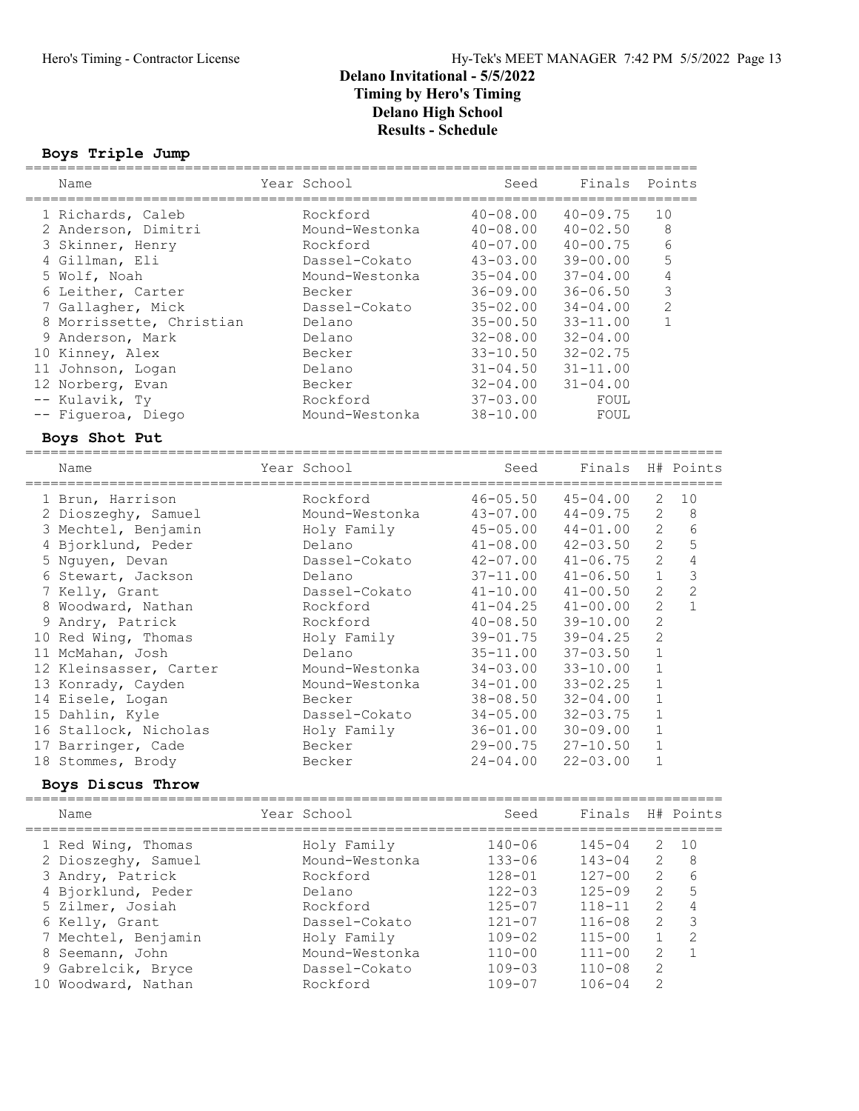#### Boys Triple Jump ================================================================================

| Name                                     | Year School                |                              | Seed | Finals                           |                | Points         |
|------------------------------------------|----------------------------|------------------------------|------|----------------------------------|----------------|----------------|
|                                          |                            |                              |      | ================                 |                |                |
| 1 Richards, Caleb<br>2 Anderson, Dimitri | Rockford<br>Mound-Westonka | $40 - 08.00$<br>$40 - 08.00$ |      | $40 - 09.75$<br>$40 - 02.50$     | 10<br>8        |                |
|                                          | Rockford                   | $40 - 07.00$                 |      | $40 - 00.75$                     |                | $\epsilon$     |
| 3 Skinner, Henry<br>4 Gillman, Eli       | Dassel-Cokato              |                              |      | $39 - 00.00$                     |                | 5              |
| 5 Wolf, Noah                             | Mound-Westonka             | $43 - 03.00$                 |      |                                  |                | $\sqrt{4}$     |
| 6 Leither, Carter                        | Becker                     | $35 - 04.00$<br>$36 - 09.00$ |      | $37 - 04.00$<br>$36 - 06.50$     |                | $\mathfrak{Z}$ |
|                                          |                            |                              |      |                                  |                | $\mathbf{2}$   |
| 7 Gallagher, Mick                        | Dassel-Cokato              | $35 - 02.00$                 |      | $34 - 04.00$                     |                | $\mathbf{1}$   |
| 8 Morrissette, Christian                 | Delano                     | $35 - 00.50$                 |      | $33 - 11.00$<br>$32 - 04.00$     |                |                |
| 9 Anderson, Mark                         | Delano                     | $32 - 08.00$                 |      |                                  |                |                |
| 10 Kinney, Alex                          | Becker                     | $33 - 10.50$                 |      | $32 - 02.75$                     |                |                |
| 11 Johnson, Logan                        | Delano                     | $31 - 04.50$                 |      | $31 - 11.00$                     |                |                |
| 12 Norberg, Evan                         | Becker                     | $32 - 04.00$                 |      | $31 - 04.00$                     |                |                |
| -- Kulavik, Ty                           | Rockford                   | $37 - 03.00$                 |      | FOUL                             |                |                |
| -- Figueroa, Diego                       | Mound-Westonka             | $38 - 10.00$                 |      | FOUL                             |                |                |
| Boys Shot Put                            |                            |                              |      |                                  |                |                |
| Name                                     | Year School                |                              | Seed | Finals                           |                | H# Points      |
|                                          |                            |                              |      |                                  |                |                |
| 1 Brun, Harrison                         | Rockford                   | $46 - 05.50$                 |      | $45 - 04.00$                     | $\sqrt{2}$     | 10             |
| 2 Dioszeghy, Samuel                      | Mound-Westonka             | $43 - 07.00$                 |      | $44 - 09.75$                     | $\mathbf{2}$   | $\,8\,$        |
| 3 Mechtel, Benjamin                      | Holy Family                | $45 - 05.00$                 |      | $44 - 01.00$                     | $\mathbf{2}$   | $\epsilon$     |
| 4 Bjorklund, Peder                       | Delano                     | $41 - 08.00$                 |      | $42 - 03.50$                     | $\mathbf{2}$   | 5              |
| 5 Nguyen, Devan                          | Dassel-Cokato              | $42 - 07.00$                 |      | $41 - 06.75$                     | $\mathbf{2}$   | $\overline{4}$ |
| 6 Stewart, Jackson                       | Delano                     | $37 - 11.00$                 |      | $41 - 06.50$                     | $\mathbf 1$    | $\mathcal{S}$  |
| 7 Kelly, Grant                           | Dassel-Cokato              | $41 - 10.00$                 |      | $41 - 00.50$                     | $\mathbf{2}$   | $\overline{c}$ |
| 8 Woodward, Nathan                       | Rockford                   | $41 - 04.25$                 |      | $41 - 00.00$                     | $\overline{c}$ | $\mathbf{1}$   |
| 9 Andry, Patrick                         | Rockford                   | $40 - 08.50$                 |      | $39 - 10.00$                     | $\mathbf{2}$   |                |
| 10 Red Wing, Thomas                      | Holy Family                | $39 - 01.75$                 |      | $39 - 04.25$                     | $\mathbf{2}$   |                |
| 11 McMahan, Josh                         | Delano                     | $35 - 11.00$                 |      | $37 - 03.50$                     | $\mathbf 1$    |                |
| 12 Kleinsasser, Carter                   | Mound-Westonka             | $34 - 03.00$                 |      | $33 - 10.00$                     | 1              |                |
| 13 Konrady, Cayden                       | Mound-Westonka             | $34 - 01.00$                 |      | $33 - 02.25$                     | $1\,$          |                |
| 14 Eisele, Logan                         | Becker                     | $38 - 08.50$                 |      | $32 - 04.00$                     | $\mathbf 1$    |                |
| 15 Dahlin, Kyle                          | Dassel-Cokato              | $34 - 05.00$                 |      | $32 - 03.75$                     | $1\,$          |                |
| 16 Stallock, Nicholas                    | Holy Family                | $36 - 01.00$                 |      | $30 - 09.00$                     | $\mathbf 1$    |                |
| 17 Barringer, Cade                       | Becker                     | $29 - 00.75$                 |      | $27 - 10.50$                     | $\mathbf{1}$   |                |
| 18 Stommes, Brody                        | Becker                     | $24 - 04.00$                 |      | $22 - 03.00$                     | $\mathbf{1}$   |                |
| Boys Discus Throw                        |                            |                              |      |                                  |                |                |
| .========================                |                            |                              |      | ================================ |                |                |
| Name                                     | Year School                |                              | Seed | Finals                           |                | H# Points      |
| 1 Red Wing, Thomas                       | Holy Family                | $140 - 06$                   |      | $145 - 04$                       | 2              | 10             |
| 2 Dioszeghy, Samuel                      | Mound-Westonka             | $133 - 06$                   |      | $143 - 04$                       | 2              | 8              |
| 3 Andry, Patrick                         | Rockford                   | $128 - 01$                   |      | $127 - 00$                       | $\mathbf{2}$   | 6              |
| 4 Bjorklund, Peder                       | Delano                     | $122 - 03$                   |      | $125 - 09$                       | $\mathbf{2}$   | 5              |
| 5 Zilmer, Josiah                         | Rockford                   | $125 - 07$                   |      | $118 - 11$                       | 2              | 4              |
| 6 Kelly, Grant                           | Dassel-Cokato              | $121 - 07$                   |      | $116 - 08$                       | $\mathbf{2}$   | $\mathsf 3$    |
| 7 Mechtel, Benjamin                      | Holy Family                | $109 - 02$                   |      | $115 - 00$                       | $\mathbf 1$    | $\mathbf{2}$   |
|                                          |                            |                              |      | $111 - 00$                       | $\overline{2}$ | $\mathbf{1}$   |
| 8 Seemann, John                          | Mound-Westonka             | $110 - 00$                   |      |                                  | $\mathbf{2}$   |                |
| 9 Gabrelcik, Bryce                       | Dassel-Cokato              | $109 - 03$                   |      | $110 - 08$                       |                |                |
| 10 Woodward, Nathan                      | Rockford                   | $109 - 07$                   |      | $106 - 04$                       | $\mathbf{2}$   |                |